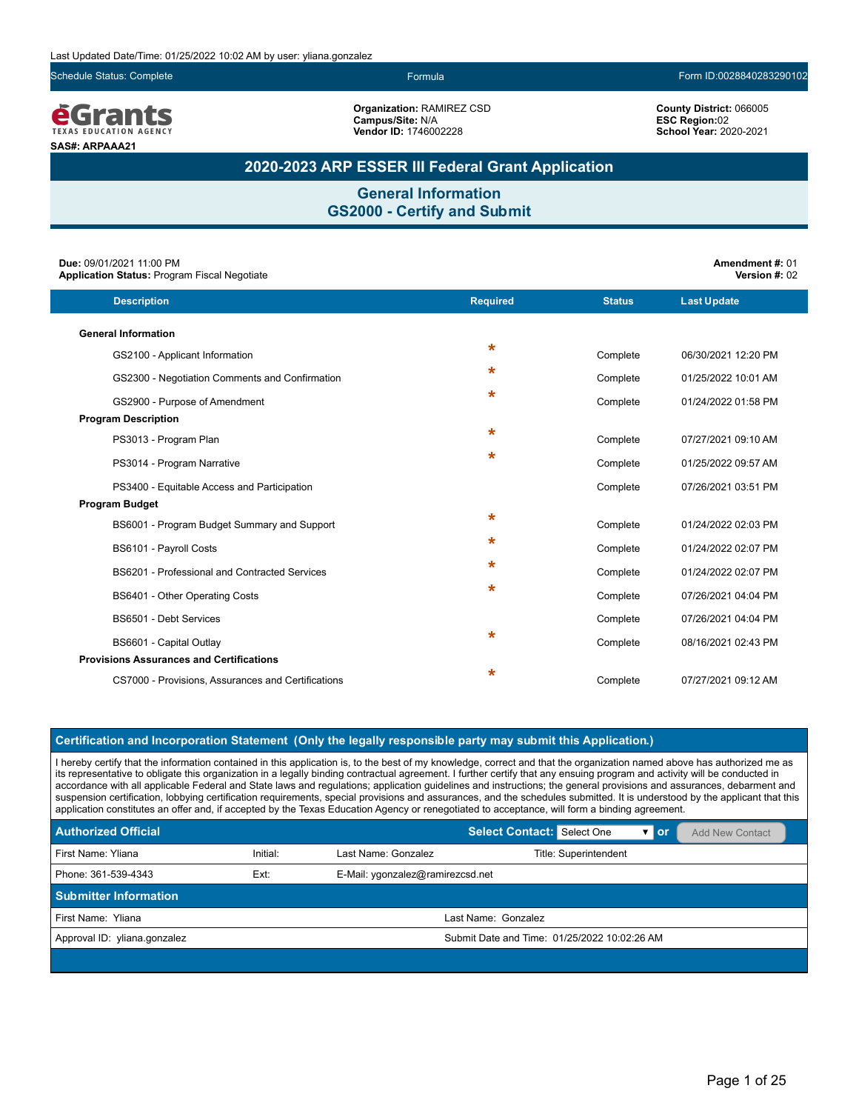Schedule Status: Complete Formula Form ID:0028840283290102

**County District:** 066005 **ESC Region:**02 **School Year:** 2020-2021

**<u>e</u>Grants SAS#: ARPAAA21**

**Organization:** RAMIREZ CSD **Campus/Site:** N/A **Vendor ID:** 1746002228

### **2020-2023 ARP ESSER III Federal Grant Application**

**General Information GS2000 - Certify and Submit**

| Due: 09/01/2021 11:00 PM<br><b>Application Status: Program Fiscal Negotiate</b> |                 |               | Amendment #: 01<br>Version #: 02 |
|---------------------------------------------------------------------------------|-----------------|---------------|----------------------------------|
| <b>Description</b>                                                              | <b>Required</b> | <b>Status</b> | <b>Last Update</b>               |
| <b>General Information</b>                                                      |                 |               |                                  |
| GS2100 - Applicant Information                                                  | $\star$         | Complete      | 06/30/2021 12:20 PM              |
| GS2300 - Negotiation Comments and Confirmation                                  | $\star$         | Complete      | 01/25/2022 10:01 AM              |
| GS2900 - Purpose of Amendment                                                   | $\star$         | Complete      | 01/24/2022 01:58 PM              |
| <b>Program Description</b>                                                      |                 |               |                                  |
| PS3013 - Program Plan                                                           | $\star$         | Complete      | 07/27/2021 09:10 AM              |
| PS3014 - Program Narrative                                                      | $\star$         | Complete      | 01/25/2022 09:57 AM              |
| PS3400 - Equitable Access and Participation                                     |                 | Complete      | 07/26/2021 03:51 PM              |
| <b>Program Budget</b>                                                           |                 |               |                                  |
| BS6001 - Program Budget Summary and Support                                     | $\star$         | Complete      | 01/24/2022 02:03 PM              |
| BS6101 - Payroll Costs                                                          | $\star$         | Complete      | 01/24/2022 02:07 PM              |
| <b>BS6201 - Professional and Contracted Services</b>                            | $\star$         | Complete      | 01/24/2022 02:07 PM              |
| BS6401 - Other Operating Costs                                                  | $\star$         | Complete      | 07/26/2021 04:04 PM              |
| BS6501 - Debt Services                                                          |                 | Complete      | 07/26/2021 04:04 PM              |
| BS6601 - Capital Outlay                                                         | $\star$         | Complete      | 08/16/2021 02:43 PM              |
| <b>Provisions Assurances and Certifications</b>                                 |                 |               |                                  |
| CS7000 - Provisions, Assurances and Certifications                              | $\ast$          | Complete      | 07/27/2021 09:12 AM              |
|                                                                                 |                 |               |                                  |

#### **Certification and Incorporation Statement (Only the legally responsible party may submit this Application.)**

I hereby certify that the information contained in this application is, to the best of my knowledge, correct and that the organization named above has authorized me as its representative to obligate this organization in a legally binding contractual agreement. I further certify that any ensuing program and activity will be conducted in accordance with all applicable Federal and State laws and regulations; application guidelines and instructions; the general provisions and assurances, debarment and suspension certification, lobbying certification requirements, special provisions and assurances, and the schedules submitted. It is understood by the applicant that this application constitutes an offer and, if accepted by the Texas Education Agency or renegotiated to acceptance, will form a binding agreement.

| <b>Authorized Official</b>                                      |          |                     | Select Contact: Select One                   | $\mathbf{v}$ or | Add New Contact |
|-----------------------------------------------------------------|----------|---------------------|----------------------------------------------|-----------------|-----------------|
| First Name: Yliana                                              | Initial: | Last Name: Gonzalez | Title: Superintendent                        |                 |                 |
| Ext:<br>Phone: 361-539-4343<br>E-Mail: ygonzalez@ramirezcsd.net |          |                     |                                              |                 |                 |
| <b>Submitter Information</b>                                    |          |                     |                                              |                 |                 |
| First Name: Yliana                                              |          |                     | Last Name: Gonzalez                          |                 |                 |
| Approval ID: yliana.gonzalez                                    |          |                     | Submit Date and Time: 01/25/2022 10:02:26 AM |                 |                 |
|                                                                 |          |                     |                                              |                 |                 |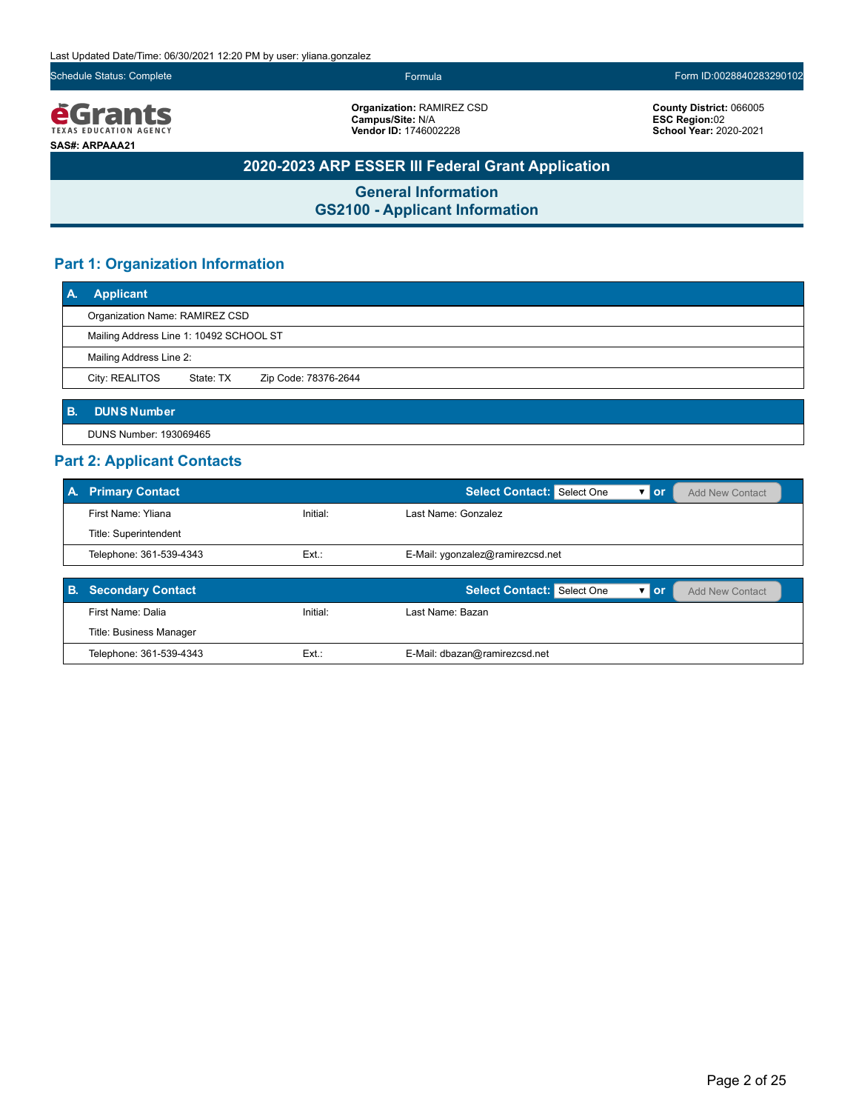Last Updated Date/Time: 06/30/2021 12:20 PM by user: yliana.gonzalez

Schedule Status: Complete Formula Form ID:0028840283290102

*<u>e</u>Grants* **SAS#: ARPAAA21**

**Organization:** RAMIREZ CSD **Campus/Site:** N/A **Vendor ID:** 1746002228

**County District:** 066005 **ESC Region:**02 **School Year:** 2020-2021

### **2020-2023 ARP ESSER III Federal Grant Application**

**General Information GS2100 - Applicant Information**

### **Part 1: Organization Information**

| ΙA.       | <b>Applicant</b>                        |           |                      |  |
|-----------|-----------------------------------------|-----------|----------------------|--|
|           | Organization Name: RAMIREZ CSD          |           |                      |  |
|           | Mailing Address Line 1: 10492 SCHOOL ST |           |                      |  |
|           | Mailing Address Line 2:                 |           |                      |  |
|           | City: REALITOS                          | State: TX | Zip Code: 78376-2644 |  |
|           |                                         |           |                      |  |
| <b>B.</b> | <b>DUNS Number</b>                      |           |                      |  |

DUNS Number: 193069465

### **Part 2: Applicant Contacts**

| <b>A.</b> | <b>Primary Contact</b>   |          | <b>Select Contact:</b> Select One<br>$\mathbf{v}$ or<br><b>Add New Contact</b>   |
|-----------|--------------------------|----------|----------------------------------------------------------------------------------|
|           | First Name: Yliana       | Initial: | Last Name: Gonzalez                                                              |
|           | Title: Superintendent    |          |                                                                                  |
|           | Telephone: 361-539-4343  | $Ext.$ : | E-Mail: ygonzalez@ramirezcsd.net                                                 |
|           |                          |          |                                                                                  |
| <b>B.</b> | <b>Secondary Contact</b> |          | <b>Select Contact:</b> Select One<br>$\overline{v}$ or<br><b>Add New Contact</b> |
|           | First Name: Dalia        | Initial: | Last Name: Bazan                                                                 |

| First Name: Dalia       | Initial: | Last Name: Bazan_             |
|-------------------------|----------|-------------------------------|
| Title: Business Manager |          |                               |
| Telephone: 361-539-4343 | Ext.:    | E-Mail: dbazan@ramirezcsd.net |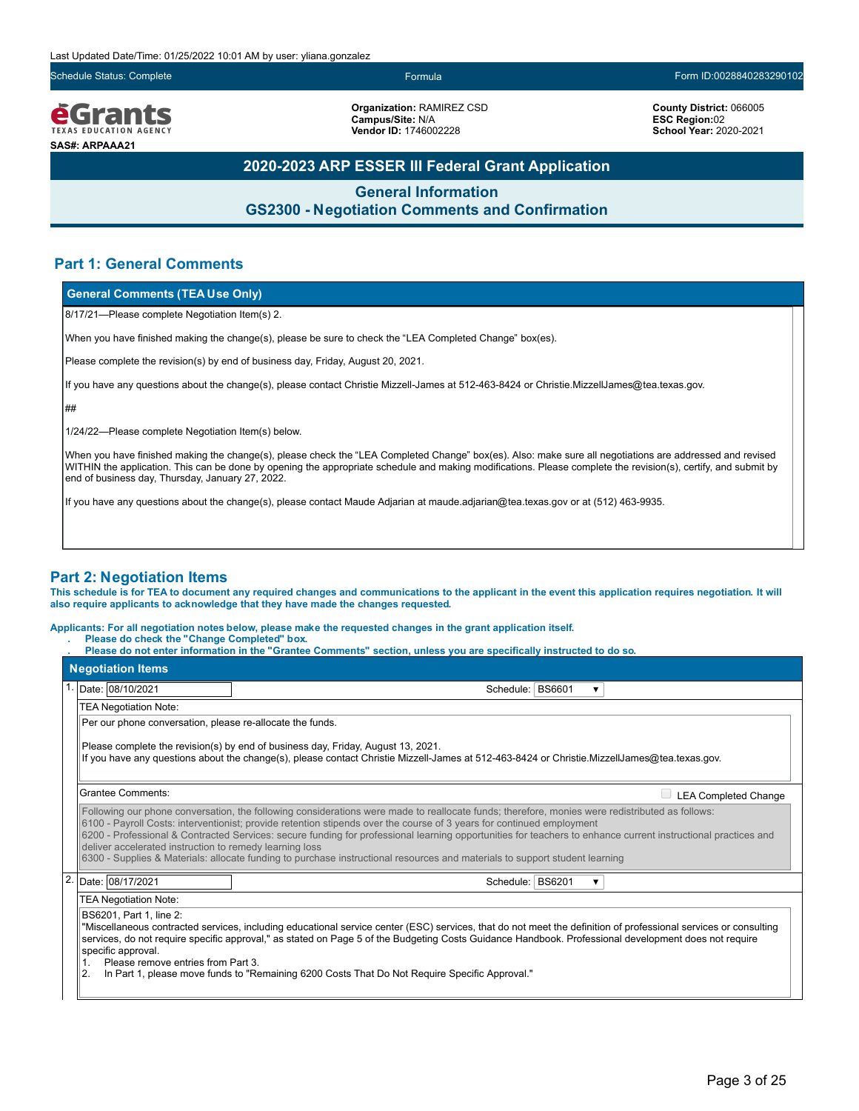Schedule Status: Complete Formula Form ID:0028840283290102

**ĕGrants** EXAS EDUCATION AGENC **SAS#: ARPAAA21**

**Organization:** RAMIREZ CSD **Campus/Site:** N/A **Vendor ID:** 1746002228

**County District:** 066005 **ESC Region:**02 **School Year:** 2020-2021

### **2020-2023 ARP ESSER III Federal Grant Application**

**General Information GS2300 - Negotiation Comments and Confirmation**

### **Part 1: General Comments**

#### **General Comments (TEA Use Only)**

8/17/21—Please complete Negotiation Item(s) 2.

When you have finished making the change(s), please be sure to check the "LEA Completed Change" box(es).

Please complete the revision(s) by end of business day, Friday, August 20, 2021.

If you have any questions about the change(s), please contact Christie Mizzell-James at 512-463-8424 or Christie.MizzellJames@tea.texas.gov.

##

1/24/22—Please complete Negotiation Item(s) below.

When you have finished making the change(s), please check the "LEA Completed Change" box(es). Also: make sure all negotiations are addressed and revised WITHIN the application. This can be done by opening the appropriate schedule and making modifications. Please complete the revision(s), certify, and submit by end of business day, Thursday, January 27, 2022.

If you have any questions about the change(s), please contact Maude Adjarian at maude.adjarian@tea.texas.gov or at (512) 463-9935.

#### **Part 2: Negotiation Items**

**This schedule is for TEA to document any required changes and communications to the applicant in the event this application requires negotiation. It will also require applicants to acknowledge that they have made the changes requested.**

**Applicants: For all negotiation notes below, please make the requested changes in the grant application itself.**

Please do check the "Change Completed" box.

Please do not enter information in the "Grantee Comments" section, unless you are specifically instructed to do so.

|                | <b>Negotiation Items</b>                                                                                   |                                                                                                                                                                                                                                                                                                                                                                                                                                                                                                                                                                         |   |                             |  |
|----------------|------------------------------------------------------------------------------------------------------------|-------------------------------------------------------------------------------------------------------------------------------------------------------------------------------------------------------------------------------------------------------------------------------------------------------------------------------------------------------------------------------------------------------------------------------------------------------------------------------------------------------------------------------------------------------------------------|---|-----------------------------|--|
|                | 1. Date: 08/10/2021                                                                                        | Schedule: BS6601                                                                                                                                                                                                                                                                                                                                                                                                                                                                                                                                                        | ▼ |                             |  |
|                | <b>TEA Negotiation Note:</b>                                                                               |                                                                                                                                                                                                                                                                                                                                                                                                                                                                                                                                                                         |   |                             |  |
|                | Per our phone conversation, please re-allocate the funds.                                                  |                                                                                                                                                                                                                                                                                                                                                                                                                                                                                                                                                                         |   |                             |  |
|                |                                                                                                            | Please complete the revision(s) by end of business day, Friday, August 13, 2021.<br>If you have any questions about the change(s), please contact Christie Mizzell-James at 512-463-8424 or Christie MizzellJames@tea.texas.gov.                                                                                                                                                                                                                                                                                                                                        |   |                             |  |
|                | <b>Grantee Comments:</b>                                                                                   |                                                                                                                                                                                                                                                                                                                                                                                                                                                                                                                                                                         |   | <b>LEA Completed Change</b> |  |
|                | deliver accelerated instruction to remedy learning loss                                                    | Following our phone conversation, the following considerations were made to reallocate funds; therefore, monies were redistributed as follows:<br>6100 - Payroll Costs: interventionist; provide retention stipends over the course of 3 years for continued employment<br>6200 - Professional & Contracted Services: secure funding for professional learning opportunities for teachers to enhance current instructional practices and<br>6300 - Supplies & Materials: allocate funding to purchase instructional resources and materials to support student learning |   |                             |  |
| $\overline{2}$ | Date: 08/17/2021                                                                                           | Schedule: BS6201                                                                                                                                                                                                                                                                                                                                                                                                                                                                                                                                                        | ▼ |                             |  |
|                | TEA Negotiation Note:                                                                                      |                                                                                                                                                                                                                                                                                                                                                                                                                                                                                                                                                                         |   |                             |  |
|                | BS6201, Part 1, line 2:<br>specific approval.<br>Please remove entries from Part 3.<br>1.<br>$\mathcal{P}$ | "Miscellaneous contracted services, including educational service center (ESC) services, that do not meet the definition of professional services or consulting<br>services, do not require specific approval," as stated on Page 5 of the Budgeting Costs Guidance Handbook. Professional development does not require<br>In Part 1, please move funds to "Remaining 6200 Costs That Do Not Require Specific Approval "                                                                                                                                                |   |                             |  |

ase move tunds to "Remaining 6200 Costs That Do Not Require Specific Approval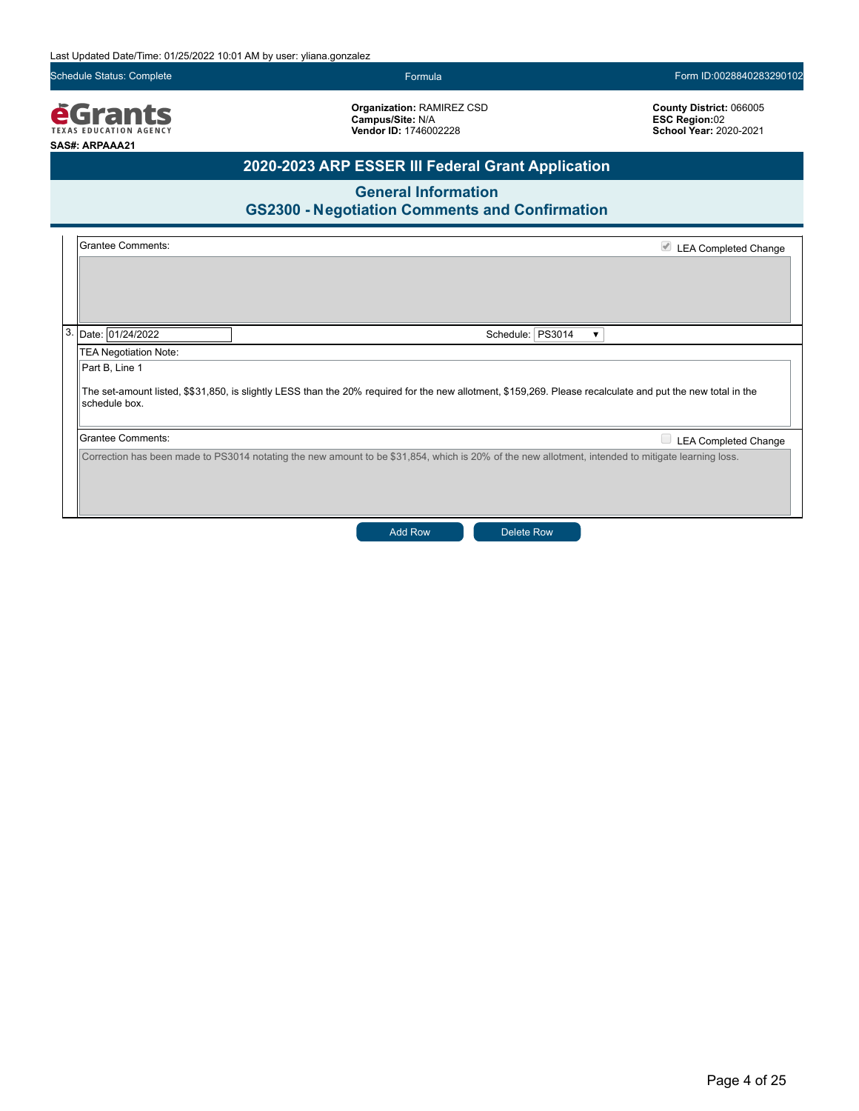**Vendor ID:** 1746002228

Schedule Status: Complete Formula Formula Formula Formula Formula Formula Formula Form ID:0028840283290102

**Organization:** RAMIREZ CSD **Campus/Site:** N/A

**County District:** 066005 **ESC Region:**02 **School Year:** 2020-2021

*<u>EGrants</u>* **SAS#: ARPAAA21**

## **2020-2023 ARP ESSER III Federal Grant Application**

**General Information**

|                              | <b>GS2300 - Negotiation Comments and Confirmation</b>                                                                                                       |                             |
|------------------------------|-------------------------------------------------------------------------------------------------------------------------------------------------------------|-----------------------------|
| <b>Grantee Comments:</b>     |                                                                                                                                                             | LEA Completed Change        |
|                              |                                                                                                                                                             |                             |
|                              |                                                                                                                                                             |                             |
|                              |                                                                                                                                                             |                             |
| Date: 01/24/2022             | Schedule:   PS3014                                                                                                                                          |                             |
| <b>TEA Negotiation Note:</b> |                                                                                                                                                             |                             |
| Part B, Line 1               |                                                                                                                                                             |                             |
| schedule box.                | The set-amount listed, \$\$31,850, is slightly LESS than the 20% required for the new allotment, \$159,269. Please recalculate and put the new total in the |                             |
| <b>Grantee Comments:</b>     |                                                                                                                                                             | <b>LEA Completed Change</b> |
|                              | Correction has been made to PS3014 notating the new amount to be \$31,854, which is 20% of the new allotment, intended to mitigate learning loss.           |                             |

Add Row **Delete Row**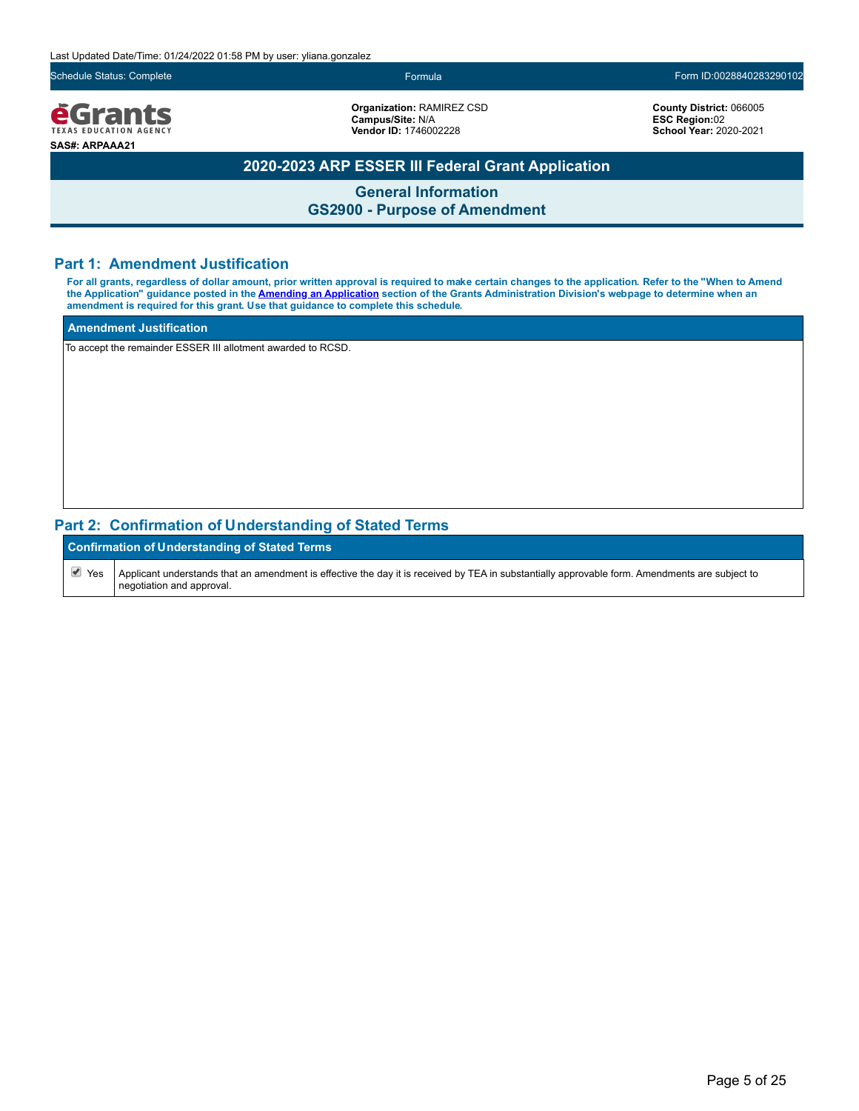Last Updated Date/Time: 01/24/2022 01:58 PM by user: yliana.gonzalez

Schedule Status: Complete Formula Form ID:0028840283290102

*<u>e</u>Grants* **TEXAS EDUCATION AGENCY SAS#: ARPAAA21**

**Organization:** RAMIREZ CSD **Campus/Site:** N/A **Vendor ID:** 1746002228

**County District:** 066005 **ESC Region:**02 **School Year:** 2020-2021

### **2020-2023 ARP ESSER III Federal Grant Application**

**General Information GS2900 - Purpose of Amendment**

### **Part 1: Amendment Justification**

**For all grants, regardless of dollar amount, prior written approval is required to make certain changes to the application. Refer to the "When to Amend the Application" guidance posted in the [Amending an Application](https://tea.texas.gov/finance-and-grants/grants/grants-administration/amending-an-application) section of the Grants Administration Division's webpage to determine when an amendment is required for this grant. Use that guidance to complete this schedule.**

#### **Amendment Justification**

To accept the remainder ESSER III allotment awarded to RCSD.

### **Part 2: Confirmation of Understanding of Stated Terms**

|            | <b>Confirmation of Understanding of Stated Terms</b>                                                                                                                          |  |  |  |
|------------|-------------------------------------------------------------------------------------------------------------------------------------------------------------------------------|--|--|--|
| $\vee$ Yes | Applicant understands that an amendment is effective the day it is received by TEA in substantially approvable form. Amendments are subject to<br>I negotiation and approval. |  |  |  |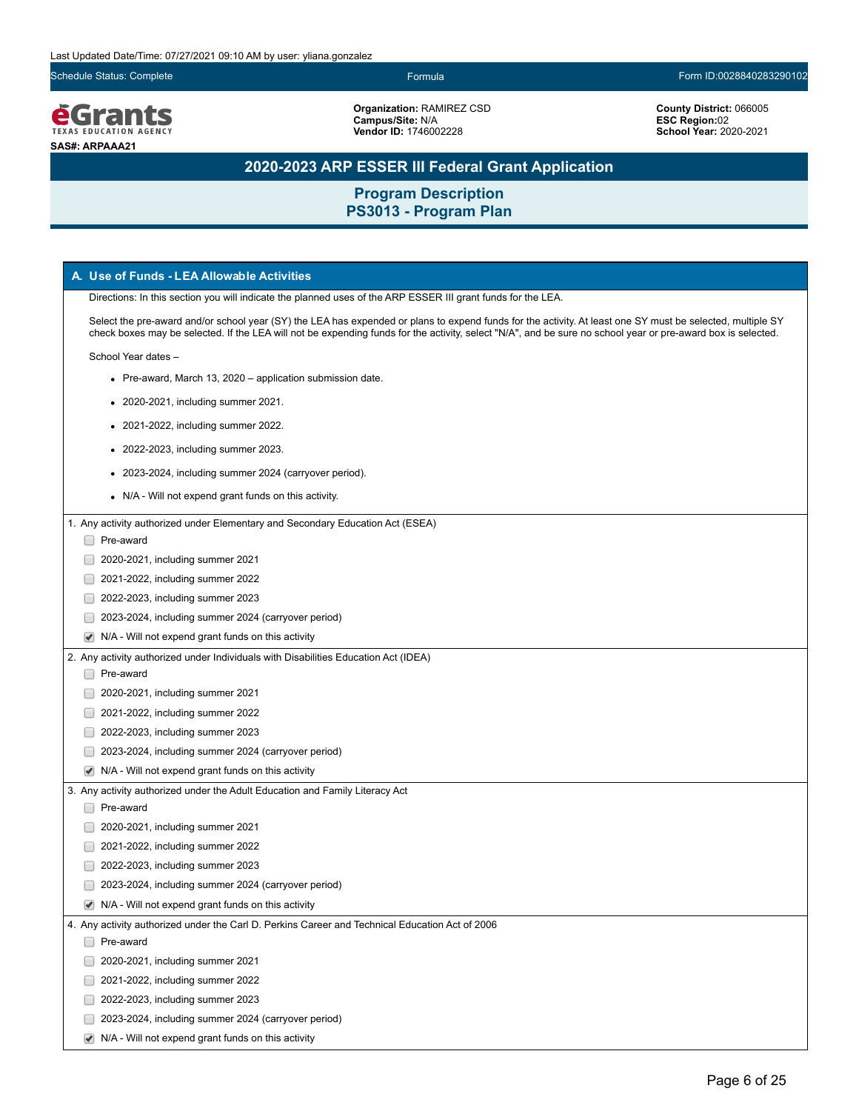Schedule Status: Complete Form ID:0028840283290102



**Organization:** RAMIREZ CSD

**Campus/Site:** N/A **Vendor ID:** 1746002228 **County District:** 066005 **ESC Region:**02 **School Year:** 2020-2021

## **2020-2023 ARP ESSER III Federal Grant Application**

| A. Use of Funds - LEA Allowable Activities                                                                                                                                                                                                                                                                                 |
|----------------------------------------------------------------------------------------------------------------------------------------------------------------------------------------------------------------------------------------------------------------------------------------------------------------------------|
| Directions: In this section you will indicate the planned uses of the ARP ESSER III grant funds for the LEA.                                                                                                                                                                                                               |
| Select the pre-award and/or school year (SY) the LEA has expended or plans to expend funds for the activity. At least one SY must be selected, multiple SY<br>check boxes may be selected. If the LEA will not be expending funds for the activity, select "N/A", and be sure no school year or pre-award box is selected. |
| School Year dates -                                                                                                                                                                                                                                                                                                        |
| • Pre-award, March 13, 2020 – application submission date.                                                                                                                                                                                                                                                                 |
| • 2020-2021, including summer 2021.                                                                                                                                                                                                                                                                                        |
| • 2021-2022, including summer 2022.                                                                                                                                                                                                                                                                                        |
| • 2022-2023, including summer 2023.                                                                                                                                                                                                                                                                                        |
| • 2023-2024, including summer 2024 (carryover period).                                                                                                                                                                                                                                                                     |
| • N/A - Will not expend grant funds on this activity.                                                                                                                                                                                                                                                                      |
| 1. Any activity authorized under Elementary and Secondary Education Act (ESEA)                                                                                                                                                                                                                                             |
| □ Pre-award                                                                                                                                                                                                                                                                                                                |
| 2020-2021, including summer 2021                                                                                                                                                                                                                                                                                           |
| 2021-2022, including summer 2022                                                                                                                                                                                                                                                                                           |
| 2022-2023, including summer 2023                                                                                                                                                                                                                                                                                           |
| 2023-2024, including summer 2024 (carryover period)                                                                                                                                                                                                                                                                        |
| N/A - Will not expend grant funds on this activity                                                                                                                                                                                                                                                                         |
| 2. Any activity authorized under Individuals with Disabilities Education Act (IDEA)                                                                                                                                                                                                                                        |
| Pre-award                                                                                                                                                                                                                                                                                                                  |
| 2020-2021, including summer 2021                                                                                                                                                                                                                                                                                           |
| 2021-2022, including summer 2022                                                                                                                                                                                                                                                                                           |
| 2022-2023, including summer 2023                                                                                                                                                                                                                                                                                           |
| 2023-2024, including summer 2024 (carryover period)                                                                                                                                                                                                                                                                        |
| N/A - Will not expend grant funds on this activity                                                                                                                                                                                                                                                                         |
| 3. Any activity authorized under the Adult Education and Family Literacy Act                                                                                                                                                                                                                                               |
| Pre-award                                                                                                                                                                                                                                                                                                                  |
| 2020-2021, including summer 2021                                                                                                                                                                                                                                                                                           |
| 2021-2022, including summer 2022                                                                                                                                                                                                                                                                                           |
| 2022-2023, including summer 2023                                                                                                                                                                                                                                                                                           |
| 2023-2024, including summer 2024 (carryover period)                                                                                                                                                                                                                                                                        |
| $\blacktriangleright$ N/A - Will not expend grant funds on this activity                                                                                                                                                                                                                                                   |
| 4. Any activity authorized under the Carl D. Perkins Career and Technical Education Act of 2006                                                                                                                                                                                                                            |
| Pre-award                                                                                                                                                                                                                                                                                                                  |
| 2020-2021, including summer 2021                                                                                                                                                                                                                                                                                           |
| 2021-2022, including summer 2022                                                                                                                                                                                                                                                                                           |
| 2022-2023, including summer 2023                                                                                                                                                                                                                                                                                           |
| 2023-2024, including summer 2024 (carryover period)                                                                                                                                                                                                                                                                        |
|                                                                                                                                                                                                                                                                                                                            |
| N/A - Will not expend grant funds on this activity                                                                                                                                                                                                                                                                         |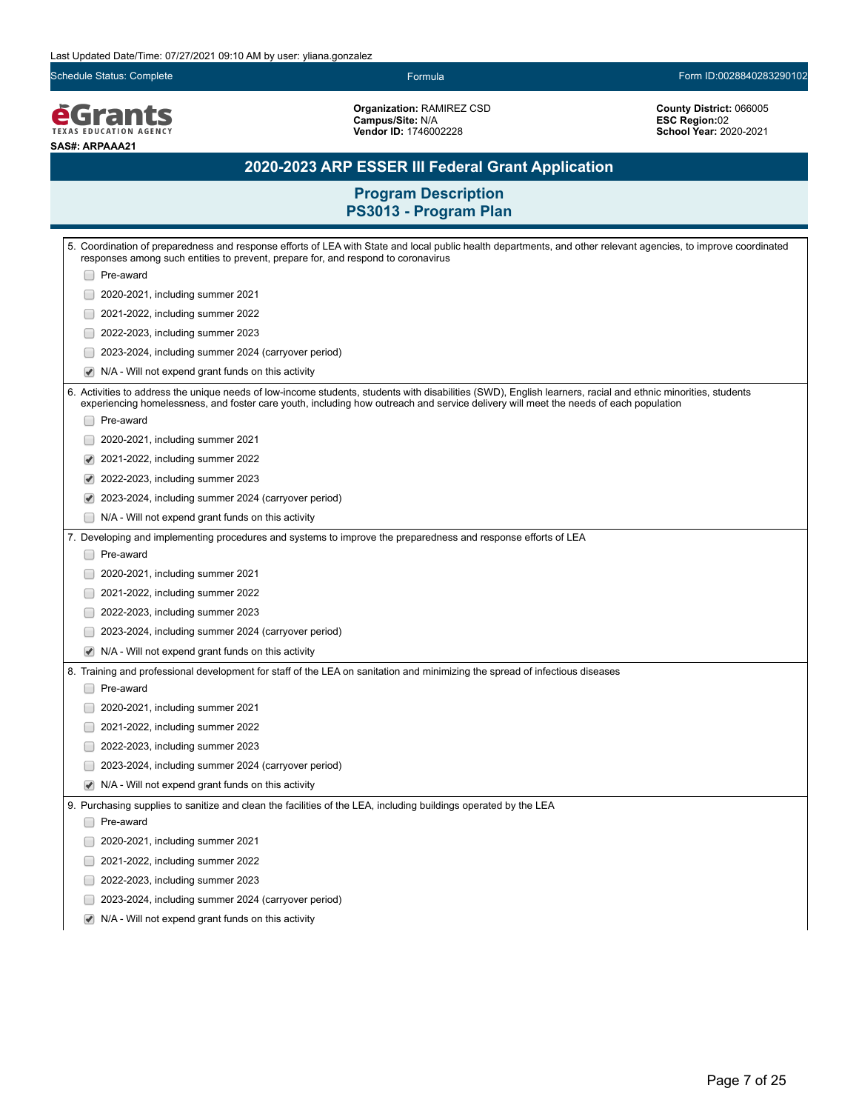Schedule Status: Complete Form ID:0028840283290102

*<u>EGrants</u>* **SAS#: ARPAAA21**

**Organization:** RAMIREZ CSD **Campus/Site:** N/A **Vendor ID:** 1746002228

**County District:** 066005 **ESC Region:**02 **School Year:** 2020-2021

### **2020-2023 ARP ESSER III Federal Grant Application**

|                          | 5. Coordination of preparedness and response efforts of LEA with State and local public health departments, and other relevant agencies, to improve coordinated                                                                                                                                      |
|--------------------------|------------------------------------------------------------------------------------------------------------------------------------------------------------------------------------------------------------------------------------------------------------------------------------------------------|
|                          | responses among such entities to prevent, prepare for, and respond to coronavirus                                                                                                                                                                                                                    |
|                          | Pre-award                                                                                                                                                                                                                                                                                            |
|                          | 2020-2021, including summer 2021                                                                                                                                                                                                                                                                     |
|                          | 2021-2022, including summer 2022                                                                                                                                                                                                                                                                     |
|                          | 2022-2023, including summer 2023                                                                                                                                                                                                                                                                     |
|                          | 2023-2024, including summer 2024 (carryover period)                                                                                                                                                                                                                                                  |
| ✔                        | N/A - Will not expend grant funds on this activity                                                                                                                                                                                                                                                   |
|                          | 6. Activities to address the unique needs of low-income students, students with disabilities (SWD), English learners, racial and ethnic minorities, students<br>experiencing homelessness, and foster care youth, including how outreach and service delivery will meet the needs of each population |
|                          | Pre-award                                                                                                                                                                                                                                                                                            |
|                          | 2020-2021, including summer 2021                                                                                                                                                                                                                                                                     |
|                          | 2021-2022, including summer 2022                                                                                                                                                                                                                                                                     |
| ✔                        | 2022-2023, including summer 2023                                                                                                                                                                                                                                                                     |
| ✔                        | 2023-2024, including summer 2024 (carryover period)                                                                                                                                                                                                                                                  |
| □                        | N/A - Will not expend grant funds on this activity                                                                                                                                                                                                                                                   |
|                          | 7. Developing and implementing procedures and systems to improve the preparedness and response efforts of LEA                                                                                                                                                                                        |
|                          | Pre-award                                                                                                                                                                                                                                                                                            |
|                          | 2020-2021, including summer 2021                                                                                                                                                                                                                                                                     |
|                          | 2021-2022, including summer 2022                                                                                                                                                                                                                                                                     |
| U                        | 2022-2023, including summer 2023                                                                                                                                                                                                                                                                     |
|                          | 2023-2024, including summer 2024 (carryover period)                                                                                                                                                                                                                                                  |
|                          | N/A - Will not expend grant funds on this activity                                                                                                                                                                                                                                                   |
|                          | 8. Training and professional development for staff of the LEA on sanitation and minimizing the spread of infectious diseases                                                                                                                                                                         |
|                          | Pre-award                                                                                                                                                                                                                                                                                            |
|                          | 2020-2021, including summer 2021                                                                                                                                                                                                                                                                     |
|                          | 2021-2022, including summer 2022                                                                                                                                                                                                                                                                     |
|                          | 2022-2023, including summer 2023                                                                                                                                                                                                                                                                     |
|                          | 2023-2024, including summer 2024 (carryover period)                                                                                                                                                                                                                                                  |
| ✔                        | N/A - Will not expend grant funds on this activity                                                                                                                                                                                                                                                   |
|                          | 9. Purchasing supplies to sanitize and clean the facilities of the LEA, including buildings operated by the LEA                                                                                                                                                                                      |
|                          | Pre-award                                                                                                                                                                                                                                                                                            |
|                          | 2020-2021, including summer 2021                                                                                                                                                                                                                                                                     |
|                          | 2021-2022, including summer 2022                                                                                                                                                                                                                                                                     |
|                          | 2022-2023, including summer 2023                                                                                                                                                                                                                                                                     |
| $\overline{\phantom{a}}$ | 2023-2024, including summer 2024 (carryover period)                                                                                                                                                                                                                                                  |
| ✔                        | N/A - Will not expend grant funds on this activity                                                                                                                                                                                                                                                   |
|                          |                                                                                                                                                                                                                                                                                                      |
|                          |                                                                                                                                                                                                                                                                                                      |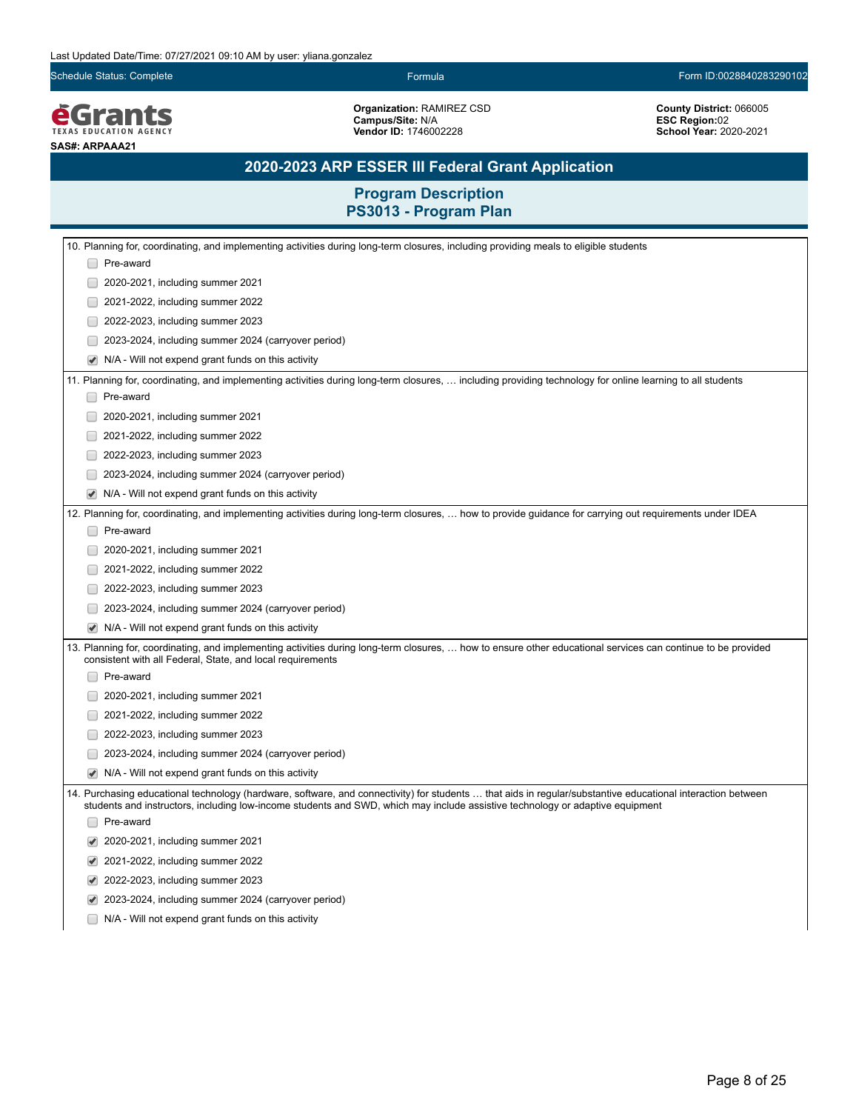Schedule Status: Complete Form ID:0028840283290102

*<u>EGrants</u>* **SAS#: ARPAAA21**

**Organization:** RAMIREZ CSD **Campus/Site:** N/A **Vendor ID:** 1746002228

**County District:** 066005 **ESC Region:**02 **School Year:** 2020-2021

### **2020-2023 ARP ESSER III Federal Grant Application**

| 10. Planning for, coordinating, and implementing activities during long-term closures, including providing meals to eligible students                                                                                                                                                        |
|----------------------------------------------------------------------------------------------------------------------------------------------------------------------------------------------------------------------------------------------------------------------------------------------|
| Pre-award                                                                                                                                                                                                                                                                                    |
| 2020-2021, including summer 2021                                                                                                                                                                                                                                                             |
| 2021-2022, including summer 2022                                                                                                                                                                                                                                                             |
| 2022-2023, including summer 2023                                                                                                                                                                                                                                                             |
| 2023-2024, including summer 2024 (carryover period)                                                                                                                                                                                                                                          |
| N/A - Will not expend grant funds on this activity                                                                                                                                                                                                                                           |
| 11. Planning for, coordinating, and implementing activities during long-term closures,  including providing technology for online learning to all students                                                                                                                                   |
| Pre-award                                                                                                                                                                                                                                                                                    |
| 2020-2021, including summer 2021                                                                                                                                                                                                                                                             |
| 2021-2022, including summer 2022                                                                                                                                                                                                                                                             |
| 2022-2023, including summer 2023                                                                                                                                                                                                                                                             |
| 2023-2024, including summer 2024 (carryover period)                                                                                                                                                                                                                                          |
| N/A - Will not expend grant funds on this activity                                                                                                                                                                                                                                           |
| 12. Planning for, coordinating, and implementing activities during long-term closures,  how to provide guidance for carrying out requirements under IDEA                                                                                                                                     |
| Pre-award                                                                                                                                                                                                                                                                                    |
| 2020-2021, including summer 2021                                                                                                                                                                                                                                                             |
| 2021-2022, including summer 2022                                                                                                                                                                                                                                                             |
| 2022-2023, including summer 2023                                                                                                                                                                                                                                                             |
| 2023-2024, including summer 2024 (carryover period)                                                                                                                                                                                                                                          |
| N/A - Will not expend grant funds on this activity                                                                                                                                                                                                                                           |
| 13. Planning for, coordinating, and implementing activities during long-term closures,  how to ensure other educational services can continue to be provided<br>consistent with all Federal, State, and local requirements                                                                   |
| Pre-award                                                                                                                                                                                                                                                                                    |
| 2020-2021, including summer 2021                                                                                                                                                                                                                                                             |
| 2021-2022, including summer 2022                                                                                                                                                                                                                                                             |
| 2022-2023, including summer 2023                                                                                                                                                                                                                                                             |
| 2023-2024, including summer 2024 (carryover period)                                                                                                                                                                                                                                          |
| N/A - Will not expend grant funds on this activity                                                                                                                                                                                                                                           |
| 14. Purchasing educational technology (hardware, software, and connectivity) for students  that aids in regular/substantive educational interaction between<br>students and instructors, including low-income students and SWD, which may include assistive technology or adaptive equipment |
| Pre-award                                                                                                                                                                                                                                                                                    |
| 2020-2021, including summer 2021                                                                                                                                                                                                                                                             |
| 2021-2022, including summer 2022                                                                                                                                                                                                                                                             |
| 2022-2023, including summer 2023                                                                                                                                                                                                                                                             |
| 2023-2024, including summer 2024 (carryover period)                                                                                                                                                                                                                                          |
| N/A - Will not expend grant funds on this activity                                                                                                                                                                                                                                           |
|                                                                                                                                                                                                                                                                                              |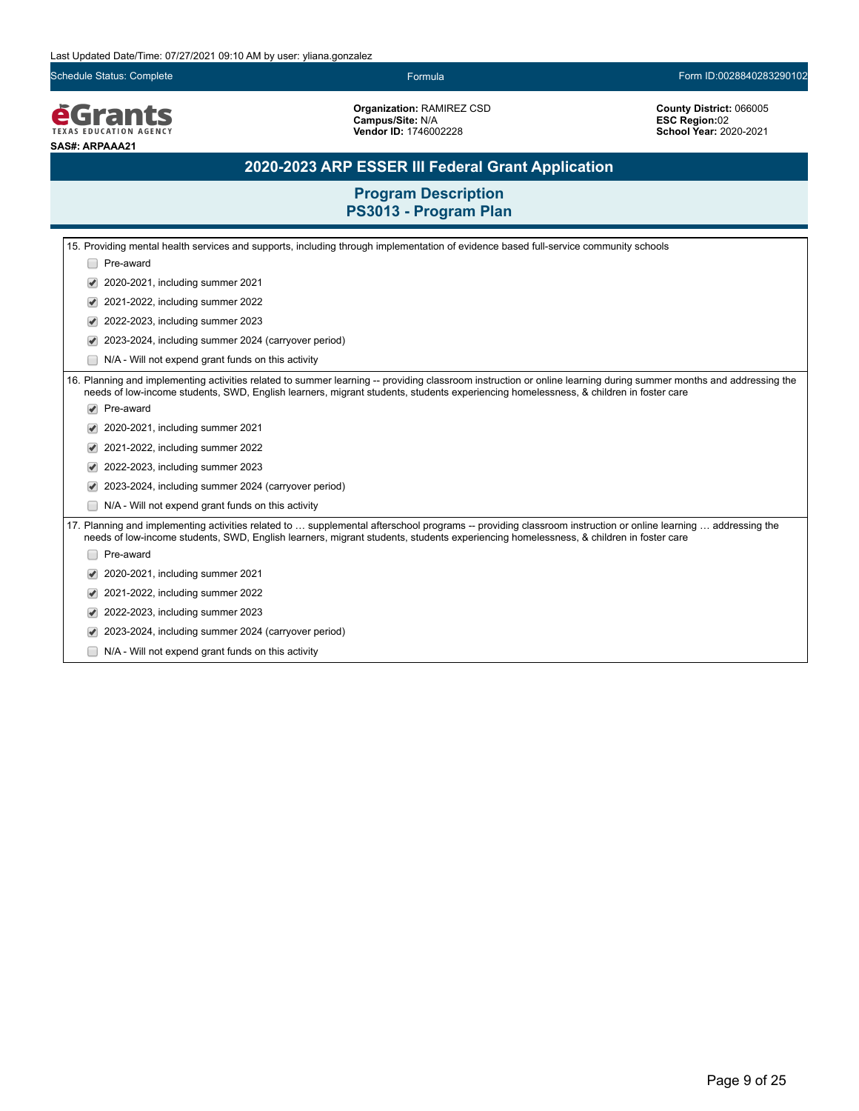Schedule Status: Complete Formula Form ID:0028840283290102

**EGrants SAS#: ARPAAA21**

**Organization:** RAMIREZ CSD **Campus/Site:** N/A **Vendor ID:** 1746002228

**County District:** 066005 **ESC Region:**02 **School Year:** 2020-2021

### **2020-2023 ARP ESSER III Federal Grant Application**

|                      | 15. Providing mental health services and supports, including through implementation of evidence based full-service community schools                                                                                                                                                                      |
|----------------------|-----------------------------------------------------------------------------------------------------------------------------------------------------------------------------------------------------------------------------------------------------------------------------------------------------------|
|                      | Pre-award                                                                                                                                                                                                                                                                                                 |
|                      | 2020-2021, including summer 2021                                                                                                                                                                                                                                                                          |
|                      | 2021-2022, including summer 2022                                                                                                                                                                                                                                                                          |
|                      | 2022-2023, including summer 2023                                                                                                                                                                                                                                                                          |
|                      | 2023-2024, including summer 2024 (carryover period)                                                                                                                                                                                                                                                       |
|                      | N/A - Will not expend grant funds on this activity                                                                                                                                                                                                                                                        |
|                      | 16. Planning and implementing activities related to summer learning -- providing classroom instruction or online learning during summer months and addressing the<br>needs of low-income students, SWD, English learners, migrant students, students experiencing homelessness, & children in foster care |
| $\blacktriangledown$ | Pre-award                                                                                                                                                                                                                                                                                                 |
|                      | 2020-2021, including summer 2021                                                                                                                                                                                                                                                                          |
|                      | 2021-2022, including summer 2022                                                                                                                                                                                                                                                                          |
|                      | 2022-2023, including summer 2023                                                                                                                                                                                                                                                                          |
|                      | 2023-2024, including summer 2024 (carryover period)                                                                                                                                                                                                                                                       |
|                      | N/A - Will not expend grant funds on this activity                                                                                                                                                                                                                                                        |
|                      | 17. Planning and implementing activities related to  supplemental afterschool programs -- providing classroom instruction or online learning  addressing the<br>needs of low-income students, SWD, English learners, migrant students, students experiencing homelessness, & children in foster care      |
|                      | Pre-award                                                                                                                                                                                                                                                                                                 |
|                      | 2020-2021, including summer 2021                                                                                                                                                                                                                                                                          |
|                      | 2021-2022, including summer 2022                                                                                                                                                                                                                                                                          |
|                      | 2022-2023, including summer 2023                                                                                                                                                                                                                                                                          |
|                      | 2023-2024, including summer 2024 (carryover period)                                                                                                                                                                                                                                                       |
|                      | N/A - Will not expend grant funds on this activity                                                                                                                                                                                                                                                        |
|                      |                                                                                                                                                                                                                                                                                                           |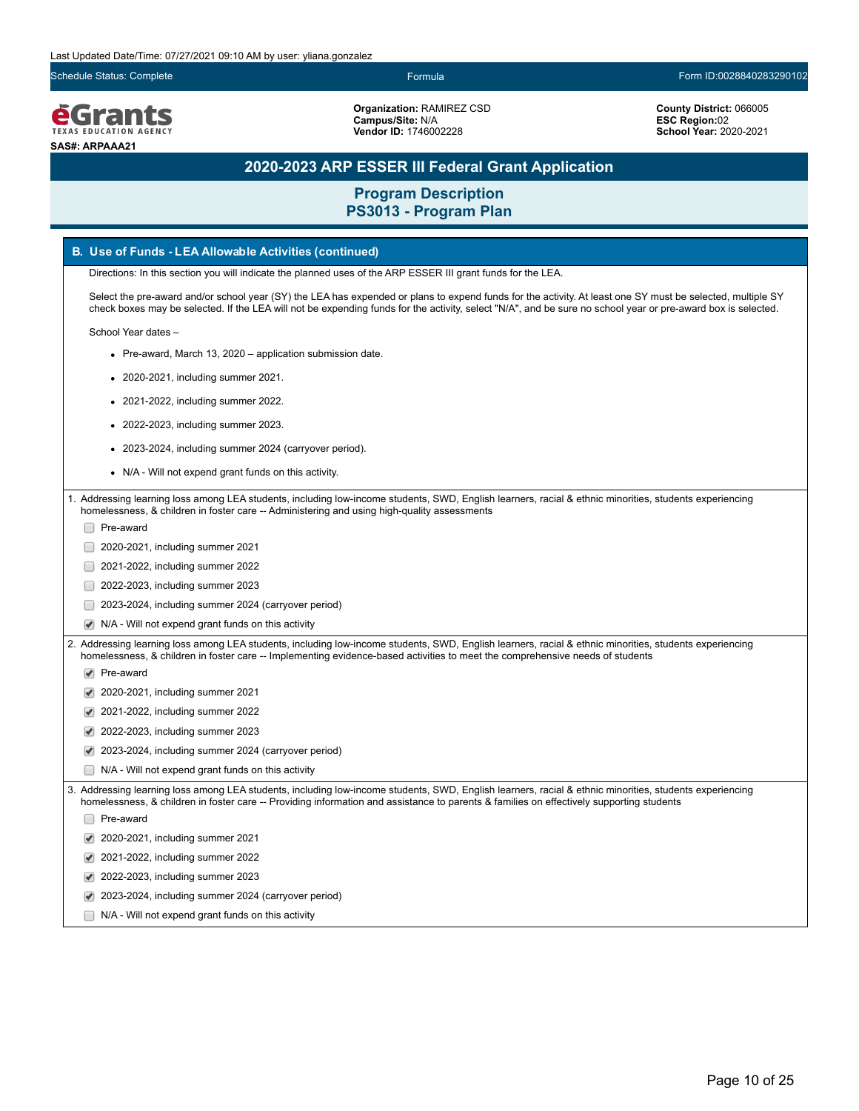Schedule Status: Complete Formula Form ID:0028840283290102

**é**Grants **EXAS EDUCATION AGEN SAS#: ARPAAA21**

**Organization:** RAMIREZ CSD **Campus/Site:** N/A **Vendor ID:** 1746002228

**County District:** 066005 **ESC Region:**02 **School Year:** 2020-2021

### **2020-2023 ARP ESSER III Federal Grant Application**

**Program Description PS3013 - Program Plan**

#### **B. Use of Funds - LEA Allowable Activities (continued)**

Directions: In this section you will indicate the planned uses of the ARP ESSER III grant funds for the LEA.

Select the pre-award and/or school year (SY) the LEA has expended or plans to expend funds for the activity. At least one SY must be selected, multiple SY check boxes may be selected. If the LEA will not be expending funds for the activity, select "N/A", and be sure no school year or pre-award box is selected.

School Year dates –

- Pre-award, March 13, 2020 application submission date.
- 2020-2021, including summer 2021.
- 2021-2022, including summer 2022.
- 2022-2023, including summer 2023.
- 2023-2024, including summer 2024 (carryover period).
- N/A Will not expend grant funds on this activity.

1. Addressing learning loss among LEA students, including low-income students, SWD, English learners, racial & ethnic minorities, students experiencing homelessness, & children in foster care -- Administering and using high-quality assessments

- □ Pre-award
- **2020-2021, including summer 2021**
- **2021-2022, including summer 2022**
- 2022-2023, including summer 2023
- 2023-2024, including summer 2024 (carryover period)
- N/A Will not expend grant funds on this activity

2. Addressing learning loss among LEA students, including low-income students, SWD, English learners, racial & ethnic minorities, students experiencing homelessness, & children in foster care -- Implementing evidence-based activities to meet the comprehensive needs of students

- Pre-award
- 2020-2021, including summer 2021
- 2021-2022, including summer 2022
- 2022-2023, including summer 2023
- 2023-2024, including summer 2024 (carryover period)
- N/A Will not expend grant funds on this activity

3. Addressing learning loss among LEA students, including low-income students, SWD, English learners, racial & ethnic minorities, students experiencing homelessness, & children in foster care -- Providing information and assistance to parents & families on effectively supporting students

Pre-award

- 2020-2021, including summer 2021
- 2021-2022, including summer 2022
- 2022-2023, including summer 2023
- 2023-2024, including summer 2024 (carryover period)
- N/A Will not expend grant funds on this activity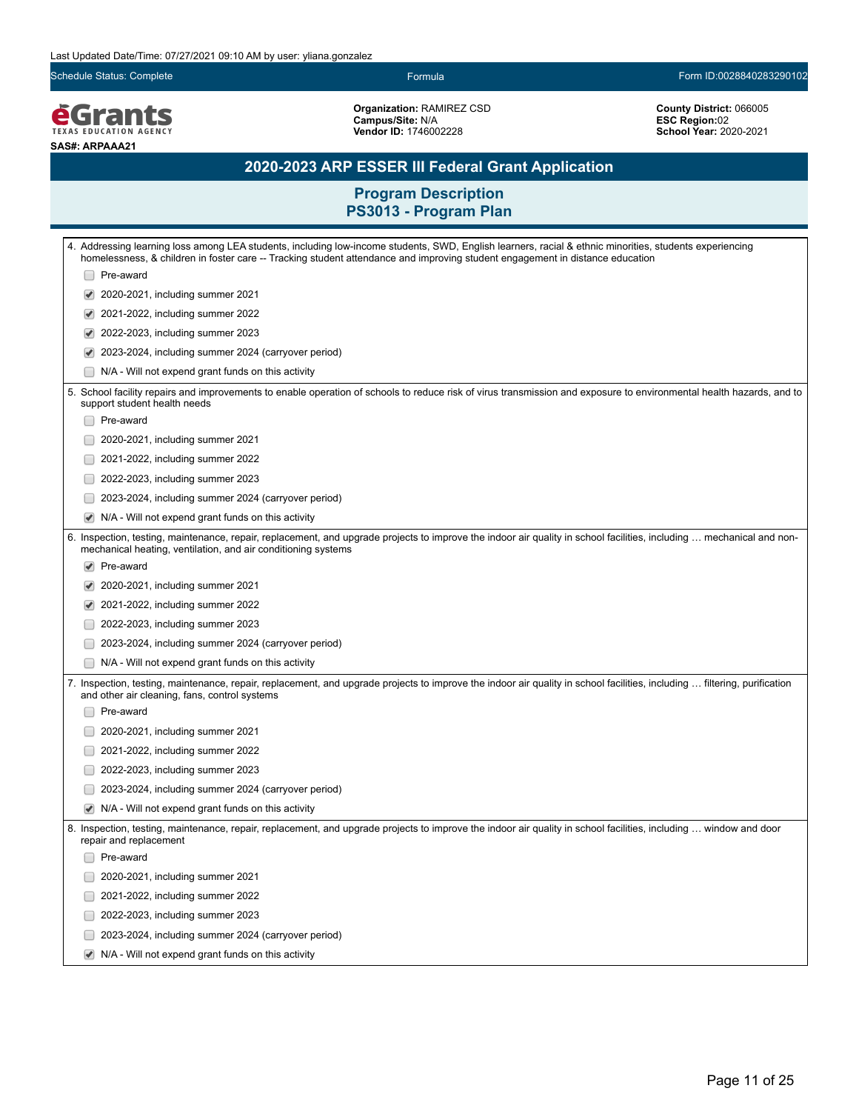Schedule Status: Complete Formula Form ID:0028840283290102

**EGrants SAS#: ARPAAA21**

**Organization:** RAMIREZ CSD **Campus/Site:** N/A **Vendor ID:** 1746002228

**County District:** 066005 **ESC Region:**02 **School Year:** 2020-2021

### **2020-2023 ARP ESSER III Federal Grant Application**

| 4. Addressing learning loss among LEA students, including low-income students, SWD, English learners, racial & ethnic minorities, students experiencing<br>homelessness, & children in foster care -- Tracking student attendance and improving student engagement in distance education |  |  |
|------------------------------------------------------------------------------------------------------------------------------------------------------------------------------------------------------------------------------------------------------------------------------------------|--|--|
| Pre-award                                                                                                                                                                                                                                                                                |  |  |
| 2020-2021, including summer 2021                                                                                                                                                                                                                                                         |  |  |
| 2021-2022, including summer 2022                                                                                                                                                                                                                                                         |  |  |
| 2022-2023, including summer 2023                                                                                                                                                                                                                                                         |  |  |
| 2023-2024, including summer 2024 (carryover period)                                                                                                                                                                                                                                      |  |  |
| N/A - Will not expend grant funds on this activity                                                                                                                                                                                                                                       |  |  |
| 5. School facility repairs and improvements to enable operation of schools to reduce risk of virus transmission and exposure to environmental health hazards, and to<br>support student health needs                                                                                     |  |  |
| Pre-award                                                                                                                                                                                                                                                                                |  |  |
| 2020-2021, including summer 2021                                                                                                                                                                                                                                                         |  |  |
| 2021-2022, including summer 2022                                                                                                                                                                                                                                                         |  |  |
| 2022-2023, including summer 2023                                                                                                                                                                                                                                                         |  |  |
| 2023-2024, including summer 2024 (carryover period)                                                                                                                                                                                                                                      |  |  |
| N/A - Will not expend grant funds on this activity                                                                                                                                                                                                                                       |  |  |
| 6. Inspection, testing, maintenance, repair, replacement, and upgrade projects to improve the indoor air quality in school facilities, including  mechanical and non-<br>mechanical heating, ventilation, and air conditioning systems                                                   |  |  |
| Pre-award                                                                                                                                                                                                                                                                                |  |  |
| 2020-2021, including summer 2021                                                                                                                                                                                                                                                         |  |  |
| 2021-2022, including summer 2022                                                                                                                                                                                                                                                         |  |  |
| 2022-2023, including summer 2023                                                                                                                                                                                                                                                         |  |  |
| 2023-2024, including summer 2024 (carryover period)                                                                                                                                                                                                                                      |  |  |
| N/A - Will not expend grant funds on this activity                                                                                                                                                                                                                                       |  |  |
| 7. Inspection, testing, maintenance, repair, replacement, and upgrade projects to improve the indoor air quality in school facilities, including  filtering, purification<br>and other air cleaning, fans, control systems                                                               |  |  |
| Pre-award                                                                                                                                                                                                                                                                                |  |  |
| 2020-2021, including summer 2021                                                                                                                                                                                                                                                         |  |  |
| 2021-2022, including summer 2022                                                                                                                                                                                                                                                         |  |  |
| 2022-2023, including summer 2023                                                                                                                                                                                                                                                         |  |  |
| 2023-2024, including summer 2024 (carryover period)                                                                                                                                                                                                                                      |  |  |
| N/A - Will not expend grant funds on this activity                                                                                                                                                                                                                                       |  |  |
| 8. Inspection, testing, maintenance, repair, replacement, and upgrade projects to improve the indoor air quality in school facilities, including  window and door<br>repair and replacement                                                                                              |  |  |
| Pre-award                                                                                                                                                                                                                                                                                |  |  |
| 2020-2021, including summer 2021                                                                                                                                                                                                                                                         |  |  |
| 2021-2022, including summer 2022                                                                                                                                                                                                                                                         |  |  |
| 2022-2023, including summer 2023                                                                                                                                                                                                                                                         |  |  |
| 2023-2024, including summer 2024 (carryover period)                                                                                                                                                                                                                                      |  |  |
| N/A - Will not expend grant funds on this activity                                                                                                                                                                                                                                       |  |  |
|                                                                                                                                                                                                                                                                                          |  |  |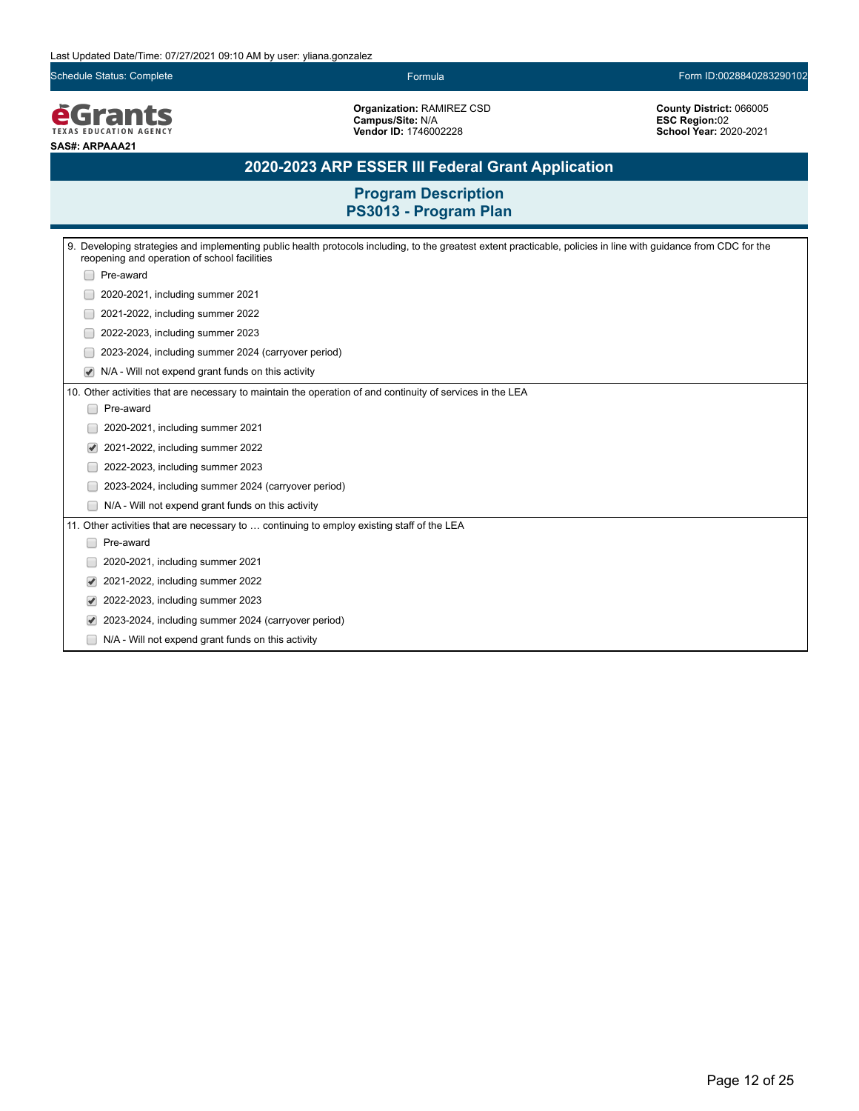Schedule Status: Complete Formula Form ID:0028840283290102

**EGrants SAS#: ARPAAA21**

**Organization:** RAMIREZ CSD **Campus/Site:** N/A **Vendor ID:** 1746002228

**County District:** 066005 **ESC Region:**02 **School Year:** 2020-2021

### **2020-2023 ARP ESSER III Federal Grant Application**

| 9. Developing strategies and implementing public health protocols including, to the greatest extent practicable, policies in line with quidance from CDC for the<br>reopening and operation of school facilities |  |  |  |
|------------------------------------------------------------------------------------------------------------------------------------------------------------------------------------------------------------------|--|--|--|
| Pre-award                                                                                                                                                                                                        |  |  |  |
| 2020-2021, including summer 2021                                                                                                                                                                                 |  |  |  |
| 2021-2022, including summer 2022                                                                                                                                                                                 |  |  |  |
| 2022-2023, including summer 2023                                                                                                                                                                                 |  |  |  |
| 2023-2024, including summer 2024 (carryover period)                                                                                                                                                              |  |  |  |
| N/A - Will not expend grant funds on this activity                                                                                                                                                               |  |  |  |
| 10. Other activities that are necessary to maintain the operation of and continuity of services in the LEA                                                                                                       |  |  |  |
| Pre-award<br>$\Box$                                                                                                                                                                                              |  |  |  |
| 2020-2021, including summer 2021                                                                                                                                                                                 |  |  |  |
| 2021-2022, including summer 2022<br>✔                                                                                                                                                                            |  |  |  |
| 2022-2023, including summer 2023                                                                                                                                                                                 |  |  |  |
| 2023-2024, including summer 2024 (carryover period)                                                                                                                                                              |  |  |  |
| N/A - Will not expend grant funds on this activity                                                                                                                                                               |  |  |  |
| 11. Other activities that are necessary to  continuing to employ existing staff of the LEA                                                                                                                       |  |  |  |
| Pre-award                                                                                                                                                                                                        |  |  |  |
| 2020-2021, including summer 2021                                                                                                                                                                                 |  |  |  |
| 2021-2022, including summer 2022<br>$\blacktriangledown$                                                                                                                                                         |  |  |  |
| 2022-2023, including summer 2023                                                                                                                                                                                 |  |  |  |
| 2023-2024, including summer 2024 (carryover period)<br>$\blacktriangledown$                                                                                                                                      |  |  |  |
| N/A - Will not expend grant funds on this activity                                                                                                                                                               |  |  |  |
|                                                                                                                                                                                                                  |  |  |  |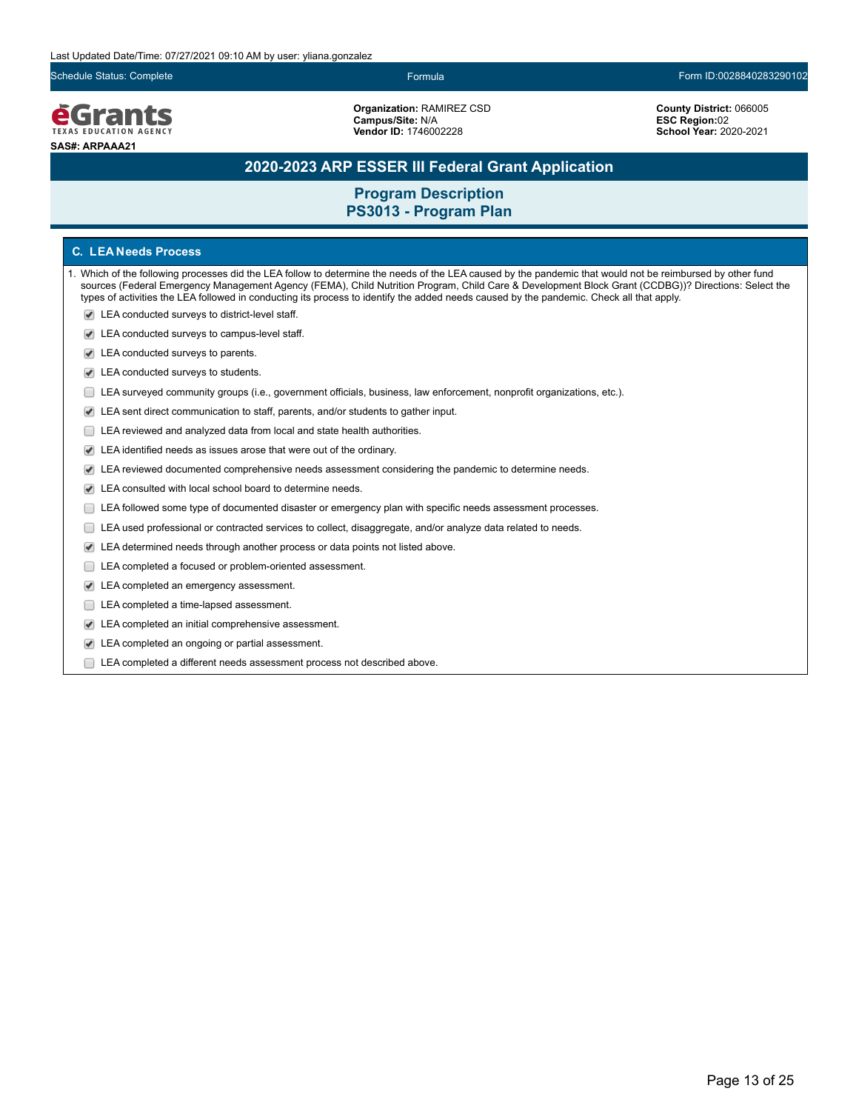### **e**Grants **TEXAS EDUCATION AGENCY SAS#: ARPAAA21**

**Organization:** RAMIREZ CSD **Campus/Site:** N/A **Vendor ID:** 1746002228

#### Schedule Status: Complete Formula Form ID:0028840283290102

**County District:** 066005 **ESC Region:**02 **School Year:** 2020-2021

### **2020-2023 ARP ESSER III Federal Grant Application**

### **Program Description PS3013 - Program Plan**

#### **C. LEA Needs Process**

- 1. Which of the following processes did the LEA follow to determine the needs of the LEA caused by the pandemic that would not be reimbursed by other fund sources (Federal Emergency Management Agency (FEMA), Child Nutrition Program, Child Care & Development Block Grant (CCDBG))? Directions: Select the types of activities the LEA followed in conducting its process to identify the added needs caused by the pandemic. Check all that apply.
	- LEA conducted surveys to district-level staff.
	- LEA conducted surveys to campus-level staff.
	- LEA conducted surveys to parents.
	- LEA conducted surveys to students.
	- LEA surveyed community groups (i.e., government officials, business, law enforcement, nonprofit organizations, etc.).
	- LEA sent direct communication to staff, parents, and/or students to gather input.
	- E LEA reviewed and analyzed data from local and state health authorities.
	- LEA identified needs as issues arose that were out of the ordinary.
	- LEA reviewed documented comprehensive needs assessment considering the pandemic to determine needs.
	- LEA consulted with local school board to determine needs.
	- LEA followed some type of documented disaster or emergency plan with specific needs assessment processes.
	- LEA used professional or contracted services to collect, disaggregate, and/or analyze data related to needs.
	- $\blacktriangleright$ LEA determined needs through another process or data points not listed above.
	- LEA completed a focused or problem-oriented assessment.
	- LEA completed an emergency assessment.
	- LEA completed a time-lapsed assessment.
	- LEA completed an initial comprehensive assessment.
	- LEA completed an ongoing or partial assessment.
	- LEA completed a different needs assessment process not described above.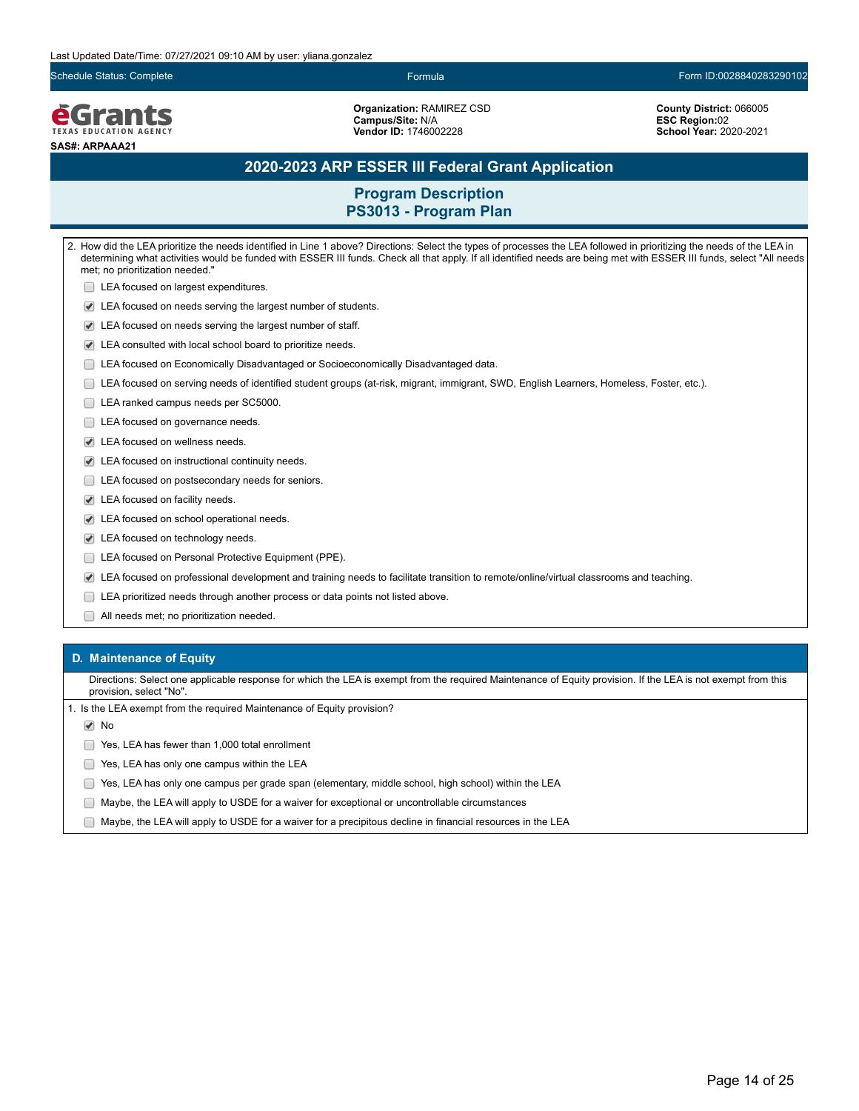Schedule Status: Complete Formula Form ID:0028840283290102

**e**Grants **TEXAS EDUCATION AGENCY SAS#: ARPAAA21**

**Organization:** RAMIREZ CSD **Campus/Site:** N/A **Vendor ID:** 1746002228

**County District:** 066005 **ESC Region:**02 **School Year:** 2020-2021

### **2020-2023 ARP ESSER III Federal Grant Application**

**Program Description PS3013 - Program Plan**

2. How did the LEA prioritize the needs identified in Line 1 above? Directions: Select the types of processes the LEA followed in prioritizing the needs of the LEA in determining what activities would be funded with ESSER III funds. Check all that apply. If all identified needs are being met with ESSER III funds, select "All needs met; no prioritization needed." **LEA** focused on largest expenditures. LEA focused on needs serving the largest number of students. LEA focused on needs serving the largest number of staff. LEA consulted with local school board to prioritize needs. LEA focused on Economically Disadvantaged or Socioeconomically Disadvantaged data. LEA focused on serving needs of identified student groups (at-risk, migrant, immigrant, SWD, English Learners, Homeless, Foster, etc.). LEA ranked campus needs per SC5000. LEA focused on governance needs. LEA focused on wellness needs. LEA focused on instructional continuity needs. **LEA** focused on postsecondary needs for seniors. LEA focused on facility needs. LEA focused on school operational needs. LEA focused on technology needs. **LEA focused on Personal Protective Equipment (PPE).** LEA focused on professional development and training needs to facilitate transition to remote/online/virtual classrooms and teaching. LEA prioritized needs through another process or data points not listed above. All needs met; no prioritization needed.

#### **D. Maintenance of Equity**

Directions: Select one applicable response for which the LEA is exempt from the required Maintenance of Equity provision. If the LEA is not exempt from this provision, select "No".

1. Is the LEA exempt from the required Maintenance of Equity provision?

**√** No

Yes, LEA has fewer than 1,000 total enrollment

- **The State State State State State State State State State State State State State State State State State State State State State State State State State State State State State State State State State State State State S**
- Yes, LEA has only one campus per grade span (elementary, middle school, high school) within the LEA
- Maybe, the LEA will apply to USDE for a waiver for exceptional or uncontrollable circumstances
- $\Box$  Maybe, the LEA will apply to USDE for a waiver for a precipitous decline in financial resources in the LEA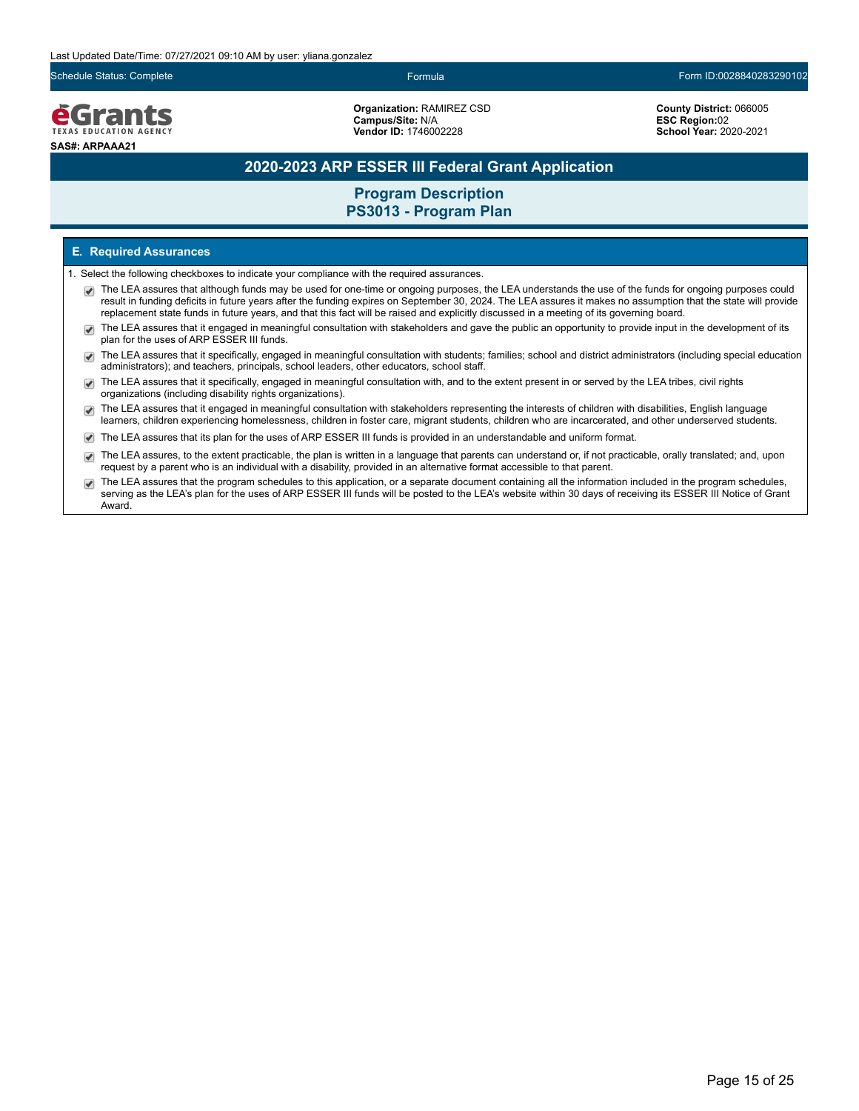Schedule Status: Complete Formula Form ID:0028840283290102

### **e**Grants TEXAS EDUCATION AGENCY **SAS#: ARPAAA21**

**Organization:** RAMIREZ CSD **Campus/Site:** N/A **Vendor ID:** 1746002228

**County District:** 066005 **ESC Region:**02 **School Year:** 2020-2021

### **2020-2023 ARP ESSER III Federal Grant Application**

### **Program Description PS3013 - Program Plan**

#### **E. Required Assurances**

- 1. Select the following checkboxes to indicate your compliance with the required assurances.
	- The LEA assures that although funds may be used for one-time or ongoing purposes, the LEA understands the use of the funds for ongoing purposes could result in funding deficits in future years after the funding expires on September 30, 2024. The LEA assures it makes no assumption that the state will provide replacement state funds in future years, and that this fact will be raised and explicitly discussed in a meeting of its governing board.
	- The LEA assures that it engaged in meaningful consultation with stakeholders and gave the public an opportunity to provide input in the development of its  $\overline{\mathcal{L}}$ plan for the uses of ARP ESSER III funds.
	- The LEA assures that it specifically, engaged in meaningful consultation with students; families; school and district administrators (including special education administrators); and teachers, principals, school leaders, other educators, school staff.
	- The LEA assures that it specifically, engaged in meaningful consultation with, and to the extent present in or served by the LEA tribes, civil rights organizations (including disability rights organizations).
	- The LEA assures that it engaged in meaningful consultation with stakeholders representing the interests of children with disabilities, English language  $\blacktriangledown$ learners, children experiencing homelessness, children in foster care, migrant students, children who are incarcerated, and other underserved students.
	- The LEA assures that its plan for the uses of ARP ESSER III funds is provided in an understandable and uniform format.
	- The LEA assures, to the extent practicable, the plan is written in a language that parents can understand or, if not practicable, orally translated; and, upon request by a parent who is an individual with a disability, provided in an alternative format accessible to that parent.
	- The LEA assures that the program schedules to this application, or a separate document containing all the information included in the program schedules, serving as the LEA's plan for the uses of ARP ESSER III funds will be posted to the LEA's website within 30 days of receiving its ESSER III Notice of Grant Award.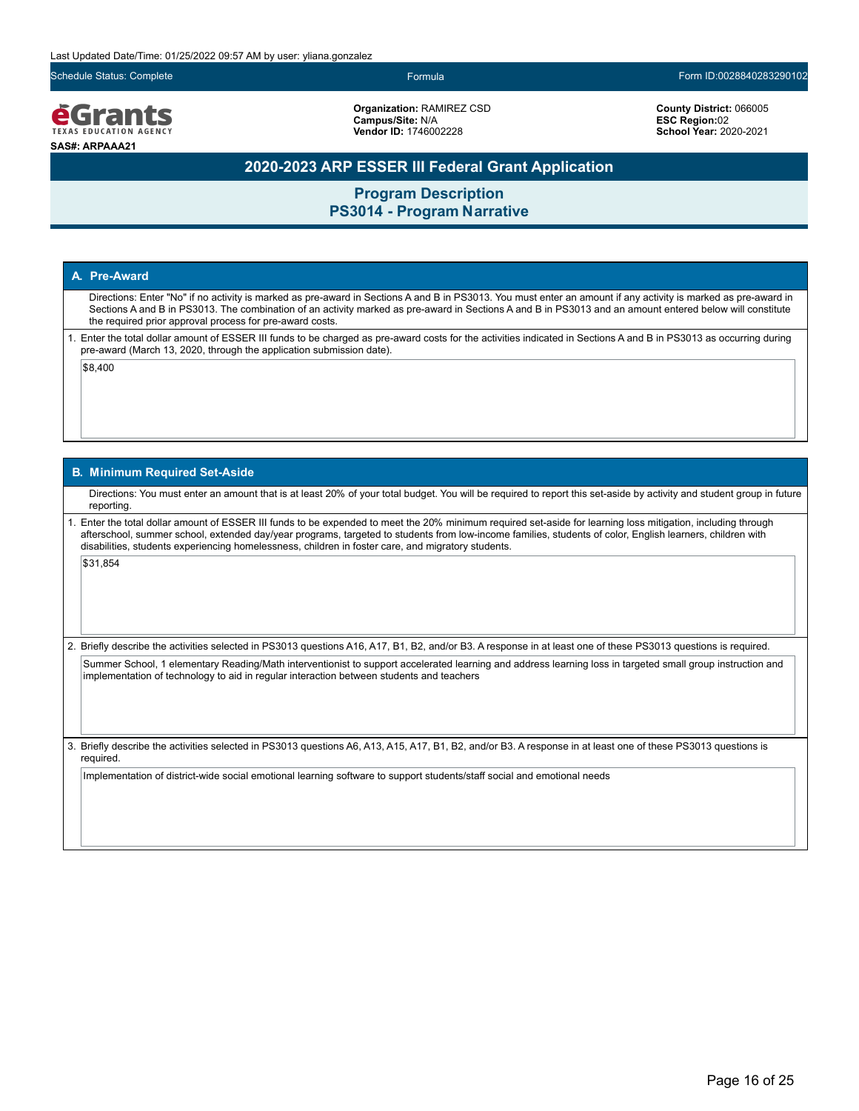Schedule Status: Complete Formula Form ID:0028840283290102



**Organization:** RAMIREZ CSD **Campus/Site:** N/A **Vendor ID:** 1746002228

**County District:** 066005 **ESC Region:**02 **School Year:** 2020-2021

### **2020-2023 ARP ESSER III Federal Grant Application**

**Program Description PS3014 - Program Narrative**

#### **A. Pre-Award**

Directions: Enter "No" if no activity is marked as pre-award in Sections A and B in PS3013. You must enter an amount if any activity is marked as pre-award in Sections A and B in PS3013. The combination of an activity marked as pre-award in Sections A and B in PS3013 and an amount entered below will constitute the required prior approval process for pre-award costs.

1. Enter the total dollar amount of ESSER III funds to be charged as pre-award costs for the activities indicated in Sections A and B in PS3013 as occurring during pre-award (March 13, 2020, through the application submission date).

 $|$ \$8,400

#### **B. Minimum Required Set-Aside**

Directions: You must enter an amount that is at least 20% of your total budget. You will be required to report this set-aside by activity and student group in future reporting.

1. Enter the total dollar amount of ESSER III funds to be expended to meet the 20% minimum required set-aside for learning loss mitigation, including through afterschool, summer school, extended day/year programs, targeted to students from low-income families, students of color, English learners, children with disabilities, students experiencing homelessness, children in foster care, and migratory students.

\$31,854

2. Briefly describe the activities selected in PS3013 questions A16, A17, B1, B2, and/or B3. A response in at least one of these PS3013 questions is required.

Summer School, 1 elementary Reading/Math interventionist to support accelerated learning and address learning loss in targeted small group instruction and implementation of technology to aid in regular interaction between students and teachers

3. Briefly describe the activities selected in PS3013 questions A6, A13, A15, A17, B1, B2, and/or B3. A response in at least one of these PS3013 questions is required.

Implementation of district-wide social emotional learning software to support students/staff social and emotional needs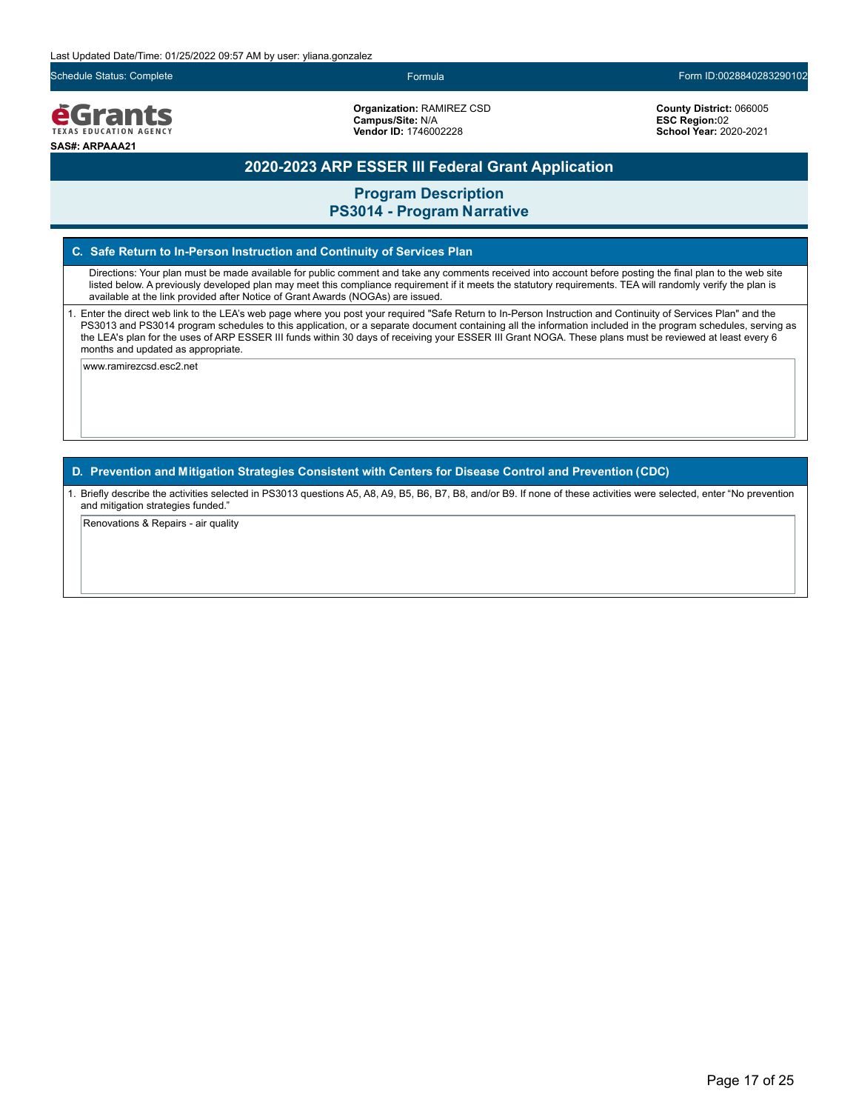**e**Grants TEXAS EDUCATION AGENCY **SAS#: ARPAAA21**

**Organization:** RAMIREZ CSD **Campus/Site:** N/A **Vendor ID:** 1746002228

Schedule Status: Complete Formula Form ID:0028840283290102

**County District:** 066005 **ESC Region:**02 **School Year:** 2020-2021

### **2020-2023 ARP ESSER III Federal Grant Application**

**Program Description**

### **PS3014 - Program Narrative**

#### **C. Safe Return to In-Person Instruction and Continuity of Services Plan**

Directions: Your plan must be made available for public comment and take any comments received into account before posting the final plan to the web site listed below. A previously developed plan may meet this compliance requirement if it meets the statutory requirements. TEA will randomly verify the plan is available at the link provided after Notice of Grant Awards (NOGAs) are issued.

1. Enter the direct web link to the LEA's web page where you post your required "Safe Return to In-Person Instruction and Continuity of Services Plan" and the PS3013 and PS3014 program schedules to this application, or a separate document containing all the information included in the program schedules, serving as the LEA's plan for the uses of ARP ESSER III funds within 30 days of receiving your ESSER III Grant NOGA. These plans must be reviewed at least every 6 months and updated as appropriate.

www.ramirezcsd.esc2.net

**D. Prevention and Mitigation Strategies Consistent with Centers for Disease Control and Prevention (CDC)**

1. Briefly describe the activities selected in PS3013 questions A5, A8, A9, B5, B6, B7, B8, and/or B9. If none of these activities were selected, enter "No prevention and mitigation strategies funded."

Renovations & Repairs - air quality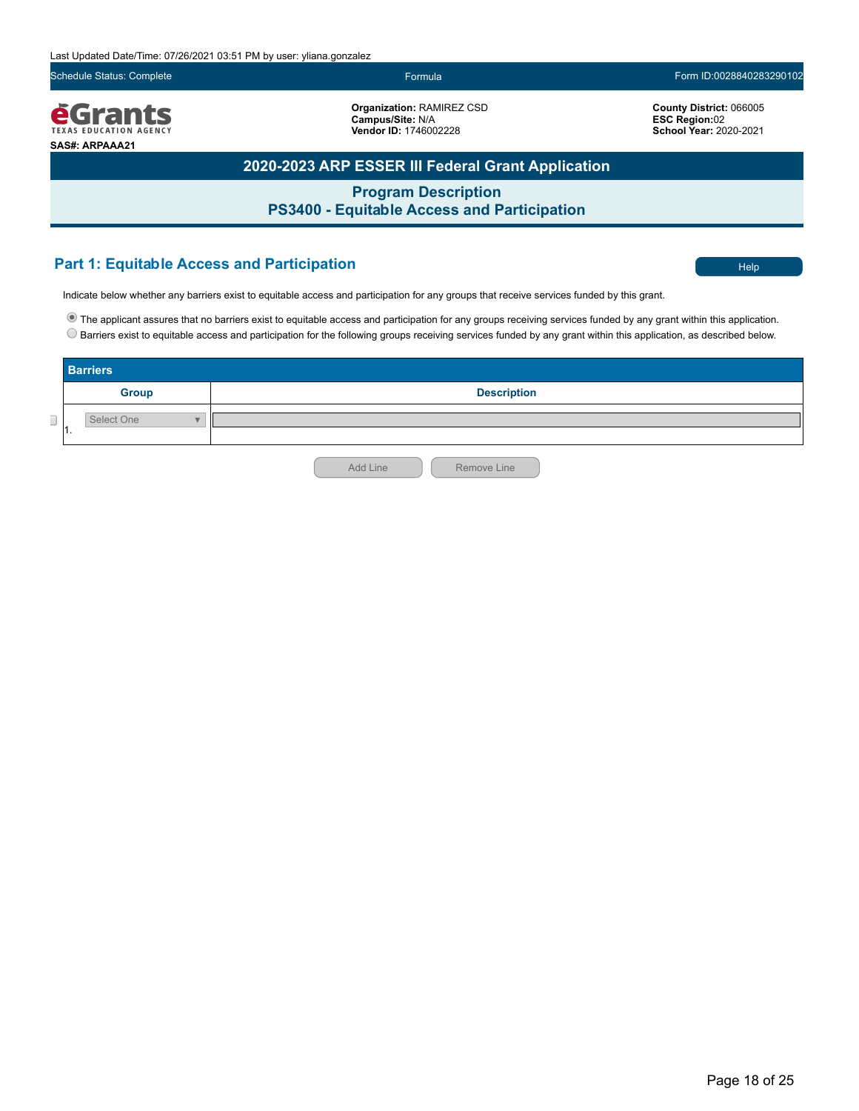**Organization:** RAMIREZ CSD **Campus/Site:** N/A **Vendor ID:** 1746002228

Schedule Status: Complete Form ID:0028840283290102

**School Year:** 2020-2021

**County District:** 066005 **ESC Region:**02

*<u>EGrants</u>* **SAS#: ARPAAA21**

**2020-2023 ARP ESSER III Federal Grant Application**

**Program Description PS3400 - Equitable Access and Participation**

### **Part 1: Equitable Access and Participation** Help **Contract of the Contract of Contract Access** and Participation

Indicate below whether any barriers exist to equitable access and participation for any groups that receive services funded by this grant.

The applicant assures that no barriers exist to equitable access and participation for any groups receiving services funded by any grant within this application. Barriers exist to equitable access and participation for the following groups receiving services funded by any grant within this application, as described below.

|                               | <b>Barriers</b>   |                         |  |
|-------------------------------|-------------------|-------------------------|--|
|                               | <b>Group</b>      | <b>Description</b>      |  |
| $\overline{\phantom{a}}$<br>┘ | Select One<br>. . |                         |  |
|                               |                   | Add Line<br>Remove Line |  |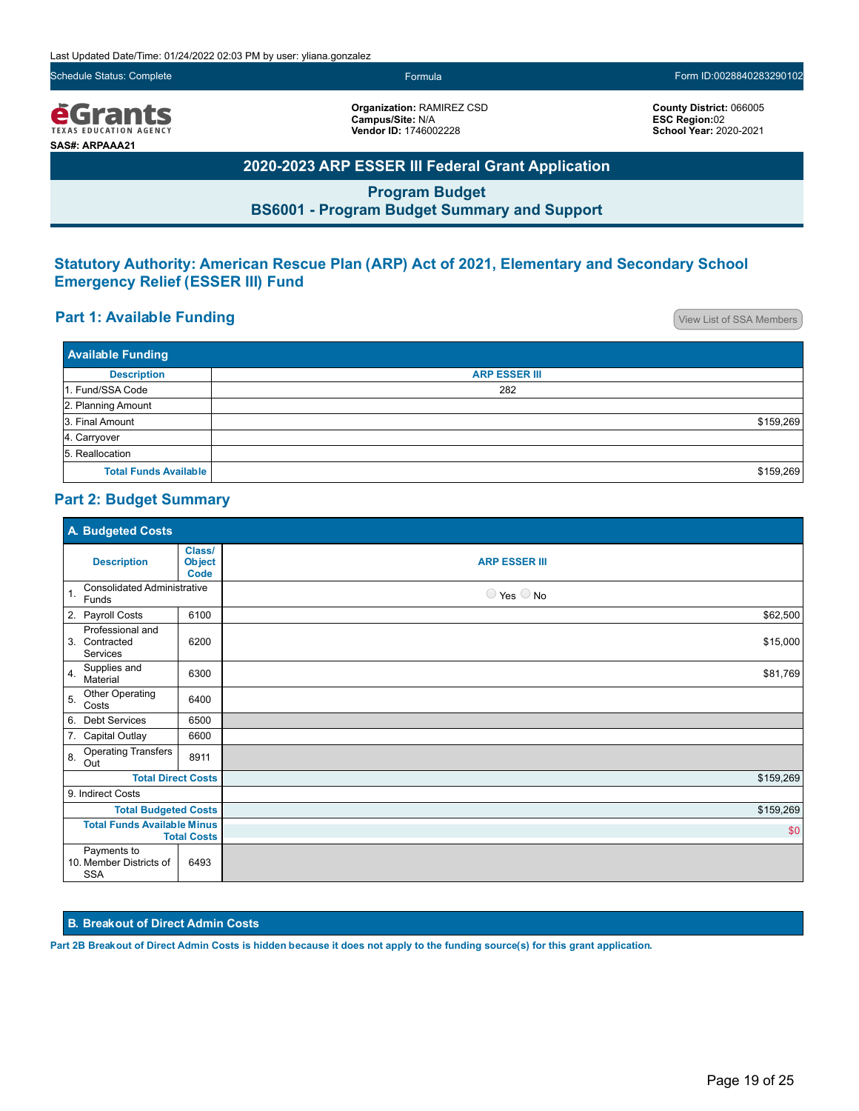Schedule Status: Complete Formula Form ID:0028840283290102

**County District:** 066005 **ESC Region:**02 **School Year:** 2020-2021

*<u>e</u>Grants* TEXAS EDUCATION AGENCY **SAS#: ARPAAA21**

**Organization:** RAMIREZ CSD **Campus/Site:** N/A **Vendor ID:** 1746002228

**2020-2023 ARP ESSER III Federal Grant Application**

**Program Budget BS6001 - Program Budget Summary and Support**

### **Statutory Authority: American Rescue Plan (ARP) Act of 2021, Elementary and Secondary School Emergency Relief (ESSER III) Fund**

### **Part 1: Available Funding Part 1: Available Funding**

| <b>Available Funding</b>     |                      |
|------------------------------|----------------------|
| <b>Description</b>           | <b>ARP ESSER III</b> |
| 1. Fund/SSA Code             | 282                  |
| 2. Planning Amount           |                      |
| 3. Final Amount              | \$159,269            |
| 4. Carryover                 |                      |
| 5. Reallocation              |                      |
| <b>Total Funds Available</b> | \$159,269            |

### **Part 2: Budget Summary**

| A. Budgeted Costs                                             |                                        |                              |
|---------------------------------------------------------------|----------------------------------------|------------------------------|
| <b>Description</b>                                            | Class/<br><b>Object</b><br><b>Code</b> | <b>ARP ESSER III</b>         |
| <b>Consolidated Administrative</b><br>$\mathbf{1}$ .<br>Funds |                                        | $\bigcirc$ Yes $\bigcirc$ No |
| 2. Payroll Costs                                              | 6100                                   | \$62,500                     |
| Professional and<br>3. Contracted<br>Services                 | 6200                                   | \$15,000                     |
| Supplies and<br>4.<br>Material                                | 6300                                   | \$81,769                     |
| <b>Other Operating</b><br>5.<br>Costs                         | 6400                                   |                              |
| 6. Debt Services                                              | 6500                                   |                              |
| 7. Capital Outlay                                             | 6600                                   |                              |
| <b>Operating Transfers</b><br>8.<br>Out                       | 8911                                   |                              |
| <b>Total Direct Costs</b>                                     |                                        | \$159,269                    |
| 9. Indirect Costs                                             |                                        |                              |
| <b>Total Budgeted Costs</b>                                   |                                        | \$159,269                    |
| <b>Total Funds Available Minus</b><br><b>Total Costs</b>      |                                        | \$0                          |
| Payments to<br>10. Member Districts of<br><b>SSA</b>          | 6493                                   |                              |

#### **B. Breakout of Direct Admin Costs**

**Part 2B Breakout of Direct Admin Costs is hidden because it does not apply to the funding source(s) for this grant application.**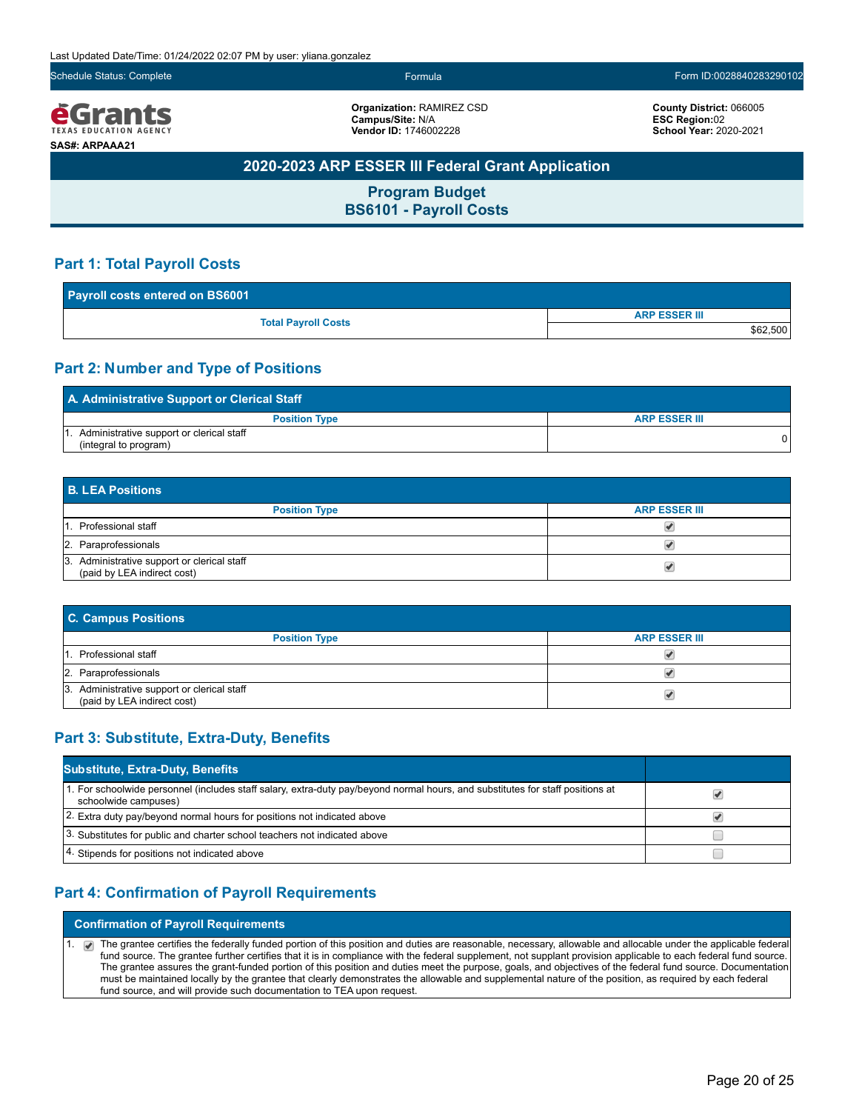eGrants **TEXAS EDUCATION AGENCY SAS#: ARPAAA21**

**Organization:** RAMIREZ CSD **Campus/Site:** N/A **Vendor ID:** 1746002228

**County District:** 066005 **ESC Region:**02 **School Year:** 2020-2021

### **2020-2023 ARP ESSER III Federal Grant Application**

**Program Budget BS6101 - Payroll Costs**

### **Part 1: Total Payroll Costs**

| Payroll costs entered on BS6001 |                      |  |
|---------------------------------|----------------------|--|
|                                 | <b>ARP ESSER III</b> |  |
| <b>Total Payroll Costs</b>      | \$62,500             |  |

### **Part 2: Number and Type of Positions**

| A. Administrative Support or Clerical Staff                       |                      |  |
|-------------------------------------------------------------------|----------------------|--|
| <b>Position Type</b>                                              | <b>ARP ESSER III</b> |  |
| Administrative support or clerical staff<br>(integral to program) |                      |  |

| <b>B. LEA Positions</b>                                                    |                      |  |
|----------------------------------------------------------------------------|----------------------|--|
| <b>Position Type</b>                                                       | <b>ARP ESSER III</b> |  |
| 1. Professional staff                                                      |                      |  |
| 2. Paraprofessionals                                                       |                      |  |
| 3. Administrative support or clerical staff<br>(paid by LEA indirect cost) |                      |  |

| <b>C. Campus Positions</b>                                                 |                      |  |
|----------------------------------------------------------------------------|----------------------|--|
| <b>Position Type</b>                                                       | <b>ARP ESSER III</b> |  |
| 1. Professional staff                                                      |                      |  |
| 2. Paraprofessionals                                                       |                      |  |
| 3. Administrative support or clerical staff<br>(paid by LEA indirect cost) |                      |  |

### **Part 3: Substitute, Extra-Duty, Benefits**

| <b>Substitute, Extra-Duty, Benefits</b>                                                                                                                |  |
|--------------------------------------------------------------------------------------------------------------------------------------------------------|--|
| 1. For schoolwide personnel (includes staff salary, extra-duty pay/beyond normal hours, and substitutes for staff positions at<br>schoolwide campuses) |  |
| 2. Extra duty pay/beyond normal hours for positions not indicated above                                                                                |  |
| 3. Substitutes for public and charter school teachers not indicated above                                                                              |  |
| 4. Stipends for positions not indicated above                                                                                                          |  |

### **Part 4: Confirmation of Payroll Requirements**

**Confirmation of Payroll Requirements**

1. The grantee certifies the federally funded portion of this position and duties are reasonable, necessary, allowable and allocable under the applicable federal fund source. The grantee further certifies that it is in compliance with the federal supplement, not supplant provision applicable to each federal fund source. The grantee assures the grant-funded portion of this position and duties meet the purpose, goals, and objectives of the federal fund source. Documentation must be maintained locally by the grantee that clearly demonstrates the allowable and supplemental nature of the position, as required by each federal fund source, and will provide such documentation to TEA upon request.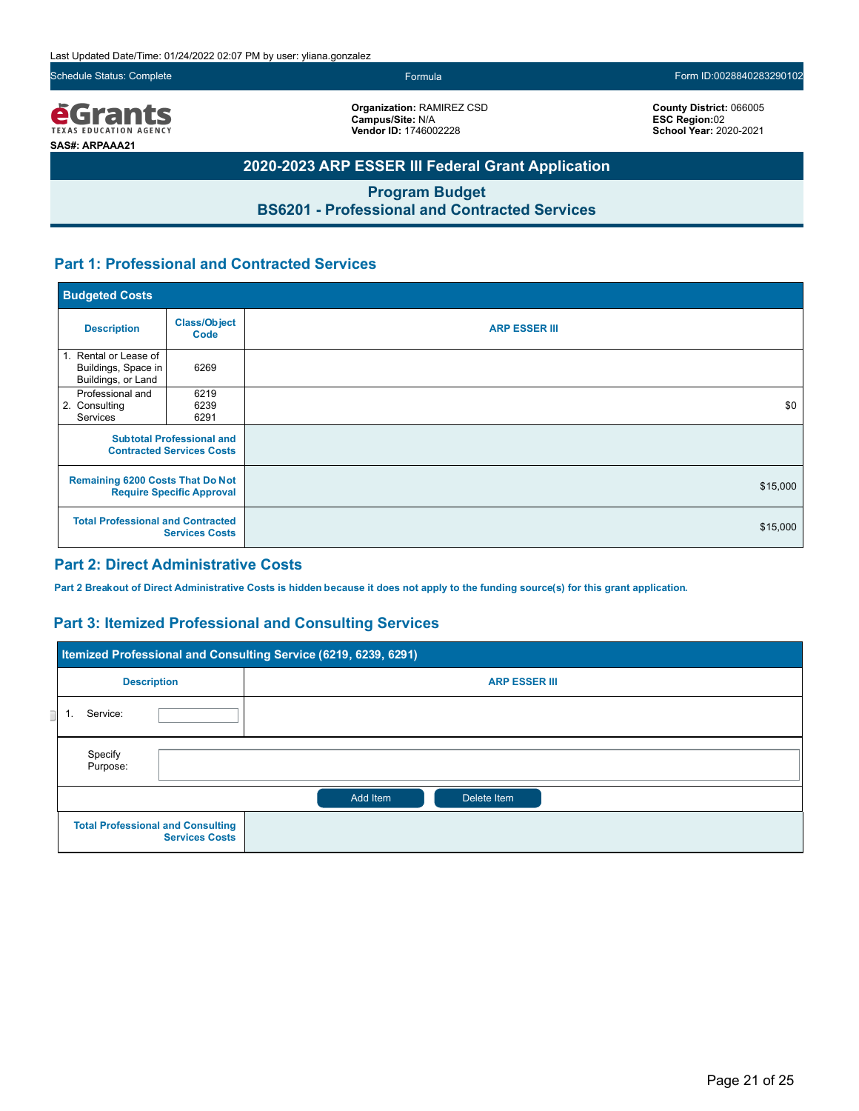Schedule Status: Complete Formula Form ID:0028840283290102

**<u>EGrants</u> SAS#: ARPAAA21**

**Organization:** RAMIREZ CSD **Campus/Site:** N/A **Vendor ID:** 1746002228

**County District:** 066005 **ESC Region:**02 **School Year:** 2020-2021

### **2020-2023 ARP ESSER III Federal Grant Application**

**Program Budget BS6201 - Professional and Contracted Services**

### **Part 1: Professional and Contracted Services**

| <b>Budgeted Costs</b>                                                                                                                            |                      |                      |
|--------------------------------------------------------------------------------------------------------------------------------------------------|----------------------|----------------------|
| <b>Description</b>                                                                                                                               | Class/Object<br>Code | <b>ARP ESSER III</b> |
| 1. Rental or Lease of<br>Buildings, Space in<br>Buildings, or Land                                                                               | 6269                 |                      |
| Professional and<br>2. Consulting<br>Services                                                                                                    | 6219<br>6239<br>6291 | \$0                  |
| <b>Subtotal Professional and</b><br><b>Contracted Services Costs</b>                                                                             |                      |                      |
| <b>Remaining 6200 Costs That Do Not</b><br><b>Require Specific Approval</b><br><b>Total Professional and Contracted</b><br><b>Services Costs</b> |                      | \$15,000             |
|                                                                                                                                                  |                      | \$15,000             |

### **Part 2: Direct Administrative Costs**

**Part 2 Breakout of Direct Administrative Costs is hidden because it does not apply to the funding source(s) for this grant application.**

### **Part 3: Itemized Professional and Consulting Services**

|          | Itemized Professional and Consulting Service (6219, 6239, 6291)   |                         |  |
|----------|-------------------------------------------------------------------|-------------------------|--|
|          | <b>Description</b>                                                | <b>ARP ESSER III</b>    |  |
| Service: |                                                                   |                         |  |
|          | Specify<br>Purpose:                                               |                         |  |
|          |                                                                   | Add Item<br>Delete Item |  |
|          | <b>Total Professional and Consulting</b><br><b>Services Costs</b> |                         |  |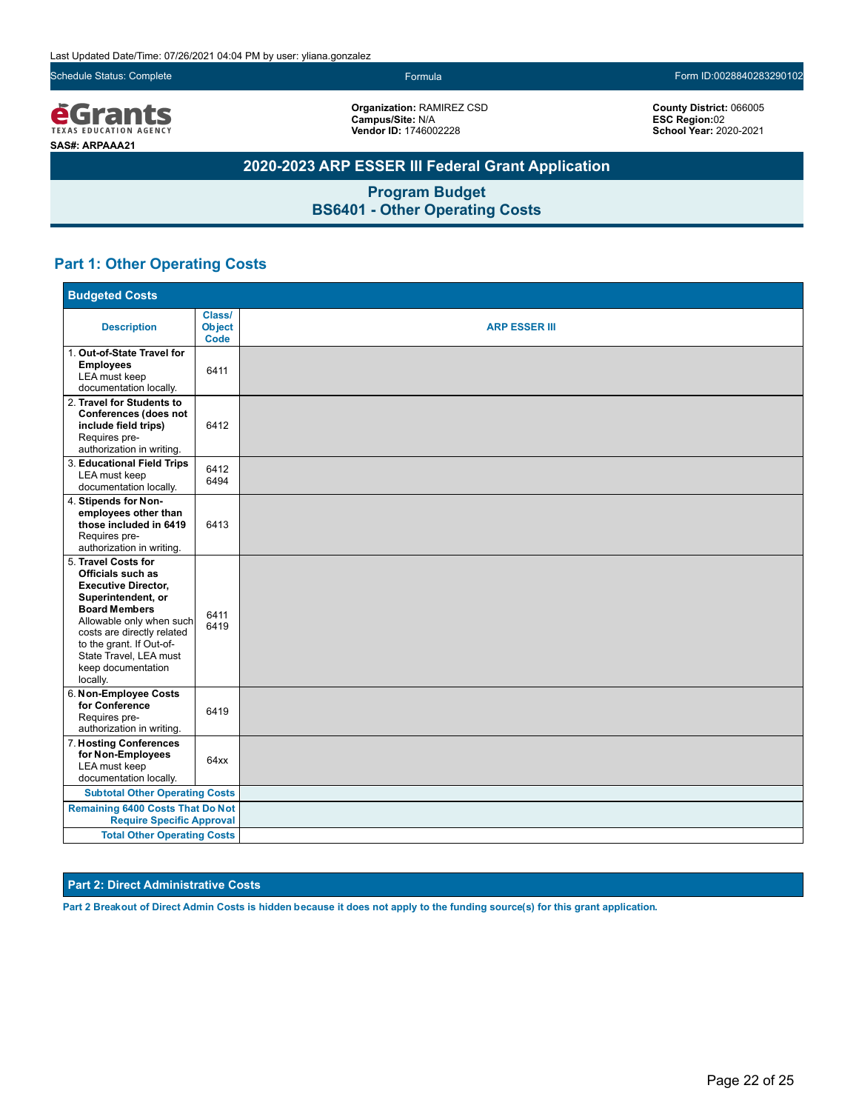Schedule Status: Complete Formula Form ID:0028840283290102

**<u>EGrants</u> SAS#: ARPAAA21**

**Organization:** RAMIREZ CSD **Campus/Site:** N/A **Vendor ID:** 1746002228

**County District:** 066005 **ESC Region:**02 **School Year:** 2020-2021

### **2020-2023 ARP ESSER III Federal Grant Application**

**Program Budget BS6401 - Other Operating Costs**

### **Part 1: Other Operating Costs**

| <b>Budgeted Costs</b>                                                                                                                                                                                                                                                  |                                 |                      |  |  |  |  |  |
|------------------------------------------------------------------------------------------------------------------------------------------------------------------------------------------------------------------------------------------------------------------------|---------------------------------|----------------------|--|--|--|--|--|
| <b>Description</b>                                                                                                                                                                                                                                                     | Class/<br><b>Object</b><br>Code | <b>ARP ESSER III</b> |  |  |  |  |  |
| 1. Out-of-State Travel for<br><b>Employees</b><br>LEA must keep<br>documentation locally.                                                                                                                                                                              | 6411                            |                      |  |  |  |  |  |
| 2. Travel for Students to<br>Conferences (does not<br>include field trips)<br>Requires pre-<br>authorization in writing.                                                                                                                                               | 6412                            |                      |  |  |  |  |  |
| 3. Educational Field Trips<br>LEA must keep<br>documentation locally.                                                                                                                                                                                                  | 6412<br>6494                    |                      |  |  |  |  |  |
| 4. Stipends for Non-<br>employees other than<br>those included in 6419<br>Requires pre-<br>authorization in writing.                                                                                                                                                   | 6413                            |                      |  |  |  |  |  |
| 5. Travel Costs for<br>Officials such as<br><b>Executive Director,</b><br>Superintendent, or<br><b>Board Members</b><br>Allowable only when such<br>costs are directly related<br>to the grant. If Out-of-<br>State Travel, LEA must<br>keep documentation<br>locally. | 6411<br>6419                    |                      |  |  |  |  |  |
| 6. Non-Employee Costs<br>for Conference<br>Requires pre-<br>authorization in writing.                                                                                                                                                                                  | 6419                            |                      |  |  |  |  |  |
| 7. Hosting Conferences<br>for Non-Employees<br>LEA must keep<br>documentation locally.                                                                                                                                                                                 | 64xx                            |                      |  |  |  |  |  |
| <b>Subtotal Other Operating Costs</b>                                                                                                                                                                                                                                  |                                 |                      |  |  |  |  |  |
| <b>Remaining 6400 Costs That Do Not</b><br><b>Require Specific Approval</b>                                                                                                                                                                                            |                                 |                      |  |  |  |  |  |
| <b>Total Other Operating Costs</b>                                                                                                                                                                                                                                     |                                 |                      |  |  |  |  |  |

#### **Part 2: Direct Administrative Costs**

**Part 2 Breakout of Direct Admin Costs is hidden because it does not apply to the funding source(s) for this grant application.**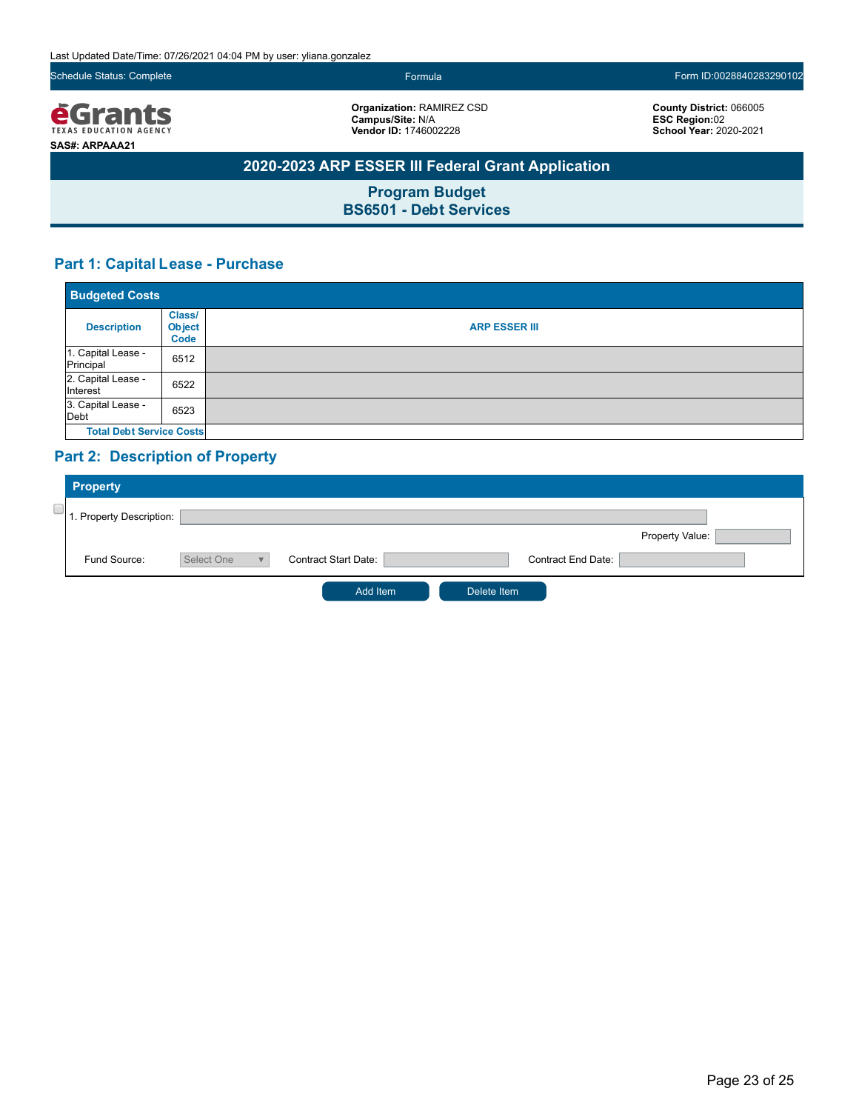Schedule Status: Complete Form ID:0028840283290102

*<u>e</u>Grants* **SAS#: ARPAAA21**

**Organization:** RAMIREZ CSD **Campus/Site:** N/A **Vendor ID:** 1746002228

**County District:** 066005 **ESC Region:**02 **School Year:** 2020-2021

### **2020-2023 ARP ESSER III Federal Grant Application**

**Program Budget BS6501 - Debt Services**

### **Part 1: Capital Lease - Purchase**

| <b>Budgeted Costs</b>           |                                 |                      |
|---------------------------------|---------------------------------|----------------------|
| <b>Description</b>              | Class/<br><b>Object</b><br>Code | <b>ARP ESSER III</b> |
| 1. Capital Lease -<br>Principal | 6512                            |                      |
| 2. Capital Lease -<br>Interest  | 6522                            |                      |
| 3. Capital Lease -<br>Debt      | 6523                            |                      |
| <b>Total Debt Service Costs</b> |                                 |                      |

### **Part 2: Description of Property**

| <b>Property</b>          |            |                             |             |                           |                 |  |
|--------------------------|------------|-----------------------------|-------------|---------------------------|-----------------|--|
| 1. Property Description: |            |                             |             |                           |                 |  |
|                          |            |                             |             |                           | Property Value: |  |
| Fund Source:             | Select One | <b>Contract Start Date:</b> |             | <b>Contract End Date:</b> |                 |  |
|                          |            | Add Item                    | Delete Item |                           |                 |  |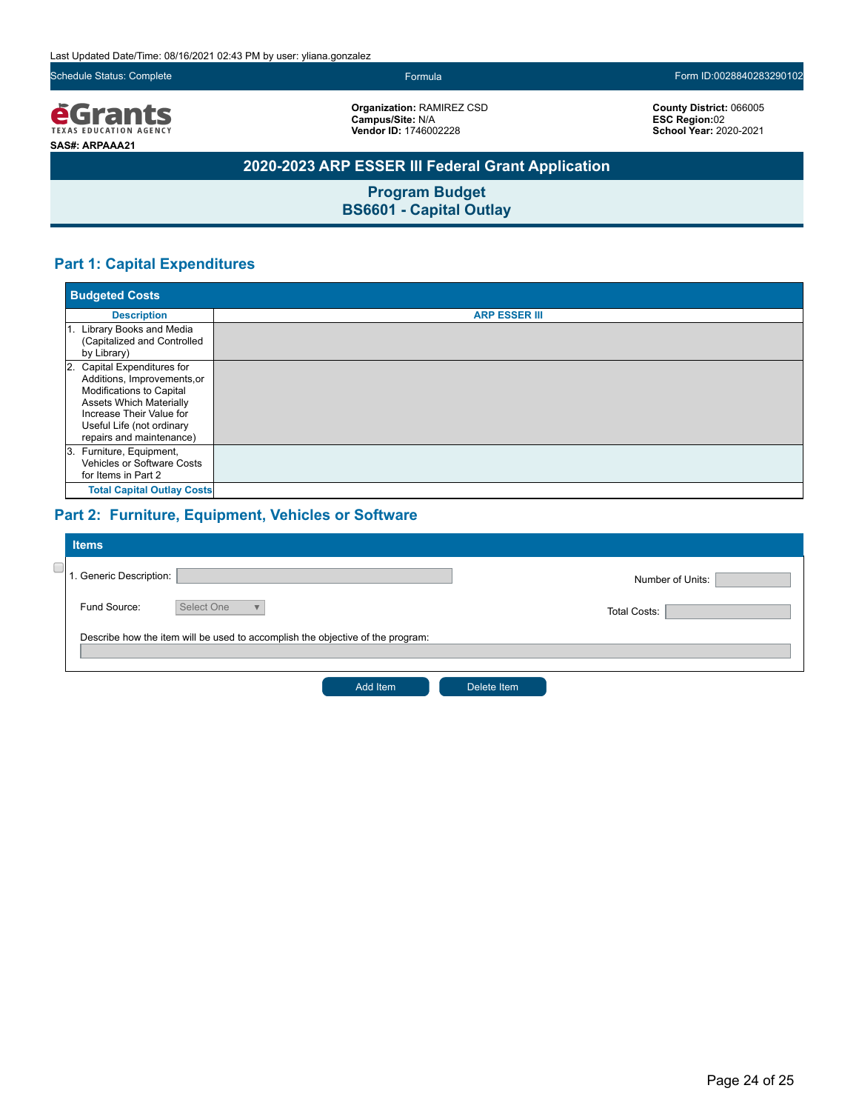Last Updated Date/Time: 08/16/2021 02:43 PM by user: yliana.gonzalez

Schedule Status: Complete Formula Form ID:0028840283290102

*<u>e</u>Grants* **SAS#: ARPAAA21**

**Organization:** RAMIREZ CSD **Campus/Site:** N/A **Vendor ID:** 1746002228

**County District:** 066005 **ESC Region:**02 **School Year:** 2020-2021

### **2020-2023 ARP ESSER III Federal Grant Application**

**Program Budget BS6601 - Capital Outlay**

### **Part 1: Capital Expenditures**

|             | <b>Budgeted Costs</b>                                                                                                                                                                                         |                      |  |  |  |  |  |  |
|-------------|---------------------------------------------------------------------------------------------------------------------------------------------------------------------------------------------------------------|----------------------|--|--|--|--|--|--|
|             | <b>Description</b>                                                                                                                                                                                            | <b>ARP ESSER III</b> |  |  |  |  |  |  |
| by Library) | 1. Library Books and Media<br>(Capitalized and Controlled                                                                                                                                                     |                      |  |  |  |  |  |  |
|             | 2. Capital Expenditures for<br>Additions, Improvements, or<br>Modifications to Capital<br><b>Assets Which Materially</b><br>Increase Their Value for<br>Useful Life (not ordinary<br>repairs and maintenance) |                      |  |  |  |  |  |  |
|             | 3. Furniture, Equipment,<br>Vehicles or Software Costs<br>for Items in Part 2                                                                                                                                 |                      |  |  |  |  |  |  |
|             | <b>Total Capital Outlay Costs</b>                                                                                                                                                                             |                      |  |  |  |  |  |  |

### **Part 2: Furniture, Equipment, Vehicles or Software**

| <b>Items</b>            |                                                                                |                     |  |
|-------------------------|--------------------------------------------------------------------------------|---------------------|--|
| 1. Generic Description: |                                                                                | Number of Units:    |  |
| Fund Source:            | Select One<br>$\overline{\mathbf{v}}$                                          | <b>Total Costs:</b> |  |
|                         | Describe how the item will be used to accomplish the objective of the program: |                     |  |
|                         | Add Item                                                                       | Delete Item         |  |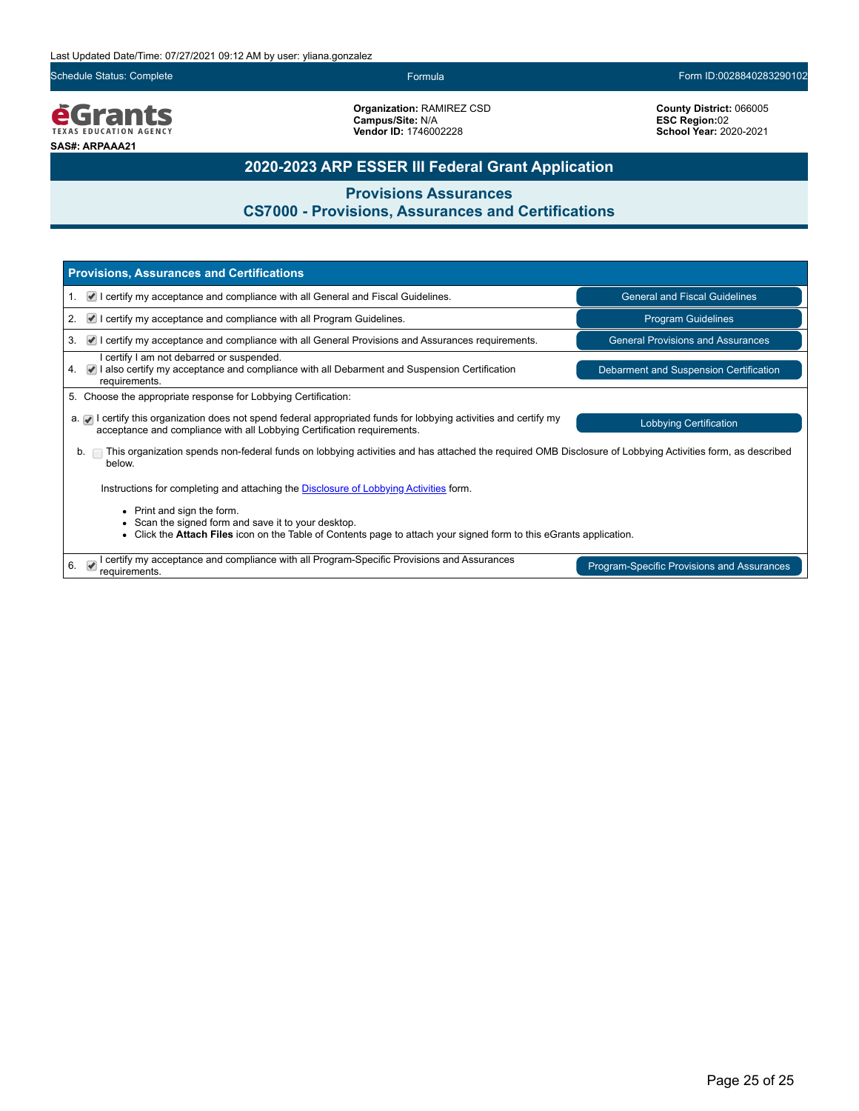Schedule Status: Complete Formula Form ID:0028840283290102

*<u>EGrants</u>* **SAS#: ARPAAA21**

**Organization:** RAMIREZ CSD **Campus/Site:** N/A **Vendor ID:** 1746002228

**County District:** 066005 **ESC Region:**02 **School Year:** 2020-2021

### **2020-2023 ARP ESSER III Federal Grant Application**

**Provisions Assurances**

### **CS7000 - Provisions, Assurances and Certifications**

| <b>Provisions, Assurances and Certifications</b>                                                                                                                                                                              |                                          |  |  |  |  |  |  |
|-------------------------------------------------------------------------------------------------------------------------------------------------------------------------------------------------------------------------------|------------------------------------------|--|--|--|--|--|--|
| $\vee$ I certify my acceptance and compliance with all General and Fiscal Guidelines.<br>$\mathbf{1}$ .                                                                                                                       | <b>General and Fiscal Guidelines</b>     |  |  |  |  |  |  |
| $\blacksquare$ I certify my acceptance and compliance with all Program Guidelines.<br>2.                                                                                                                                      | <b>Program Guidelines</b>                |  |  |  |  |  |  |
| $\blacktriangleright$ I certify my acceptance and compliance with all General Provisions and Assurances requirements.<br>3.                                                                                                   | <b>General Provisions and Assurances</b> |  |  |  |  |  |  |
| I certify I am not debarred or suspended.<br>4. • I also certify my acceptance and compliance with all Debarment and Suspension Certification<br>requirements.                                                                | Debarment and Suspension Certification   |  |  |  |  |  |  |
| 5. Choose the appropriate response for Lobbying Certification:                                                                                                                                                                |                                          |  |  |  |  |  |  |
| $a.$ I certify this organization does not spend federal appropriated funds for lobbying activities and certify my<br><b>Lobbying Certification</b><br>acceptance and compliance with all Lobbying Certification requirements. |                                          |  |  |  |  |  |  |
| This organization spends non-federal funds on lobbying activities and has attached the required OMB Disclosure of Lobbying Activities form, as described<br>b.<br>below.                                                      |                                          |  |  |  |  |  |  |
| Instructions for completing and attaching the <b>Disclosure of Lobbying Activities</b> form.                                                                                                                                  |                                          |  |  |  |  |  |  |
| • Print and sign the form.<br>Scan the signed form and save it to your desktop.<br>Click the Attach Files icon on the Table of Contents page to attach your signed form to this eGrants application.                          |                                          |  |  |  |  |  |  |
| certify my acceptance and compliance with all Program-Specific Provisions and Assurances<br>$\overline{\mathcal{U}}$<br>6.<br>Program-Specific Provisions and Assurances<br>requirements.                                     |                                          |  |  |  |  |  |  |